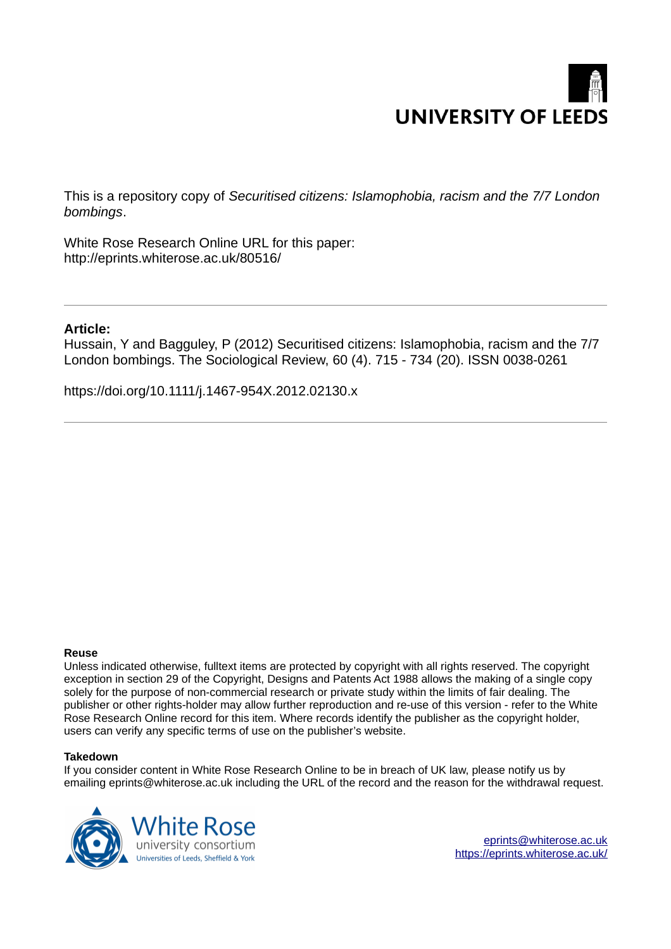# **UNIVERSITY OF LEEDS**

This is a repository copy of *Securitised citizens: Islamophobia, racism and the 7/7 London bombings*.

White Rose Research Online URL for this paper: http://eprints.whiterose.ac.uk/80516/

#### **Article:**

Hussain, Y and Bagguley, P (2012) Securitised citizens: Islamophobia, racism and the 7/7 London bombings. The Sociological Review, 60 (4). 715 - 734 (20). ISSN 0038-0261

https://doi.org/10.1111/j.1467-954X.2012.02130.x

#### **Reuse**

Unless indicated otherwise, fulltext items are protected by copyright with all rights reserved. The copyright exception in section 29 of the Copyright, Designs and Patents Act 1988 allows the making of a single copy solely for the purpose of non-commercial research or private study within the limits of fair dealing. The publisher or other rights-holder may allow further reproduction and re-use of this version - refer to the White Rose Research Online record for this item. Where records identify the publisher as the copyright holder, users can verify any specific terms of use on the publisher's website.

#### **Takedown**

If you consider content in White Rose Research Online to be in breach of UK law, please notify us by emailing eprints@whiterose.ac.uk including the URL of the record and the reason for the withdrawal request.

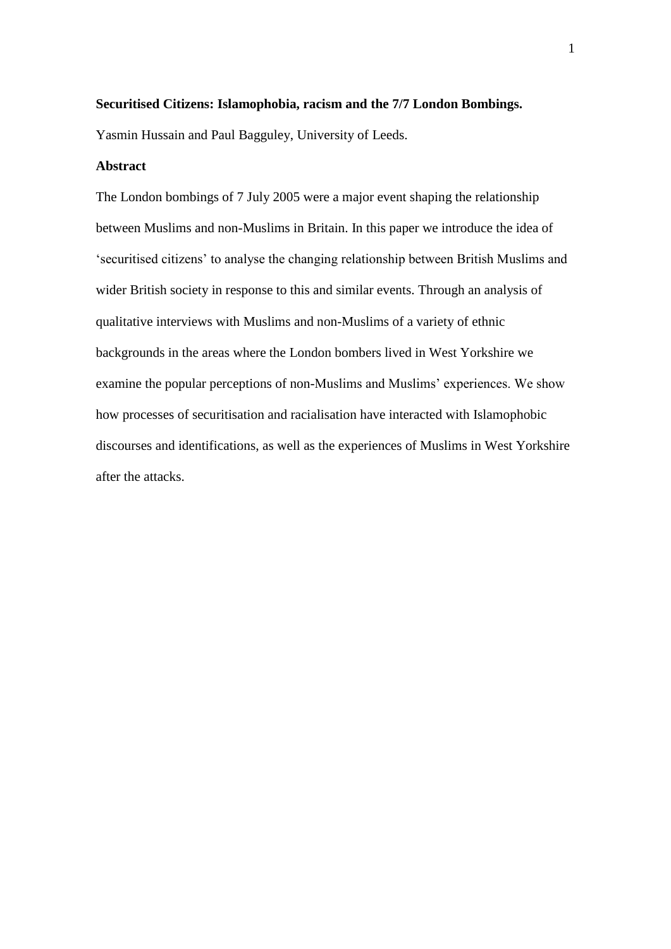#### **Securitised Citizens: Islamophobia, racism and the 7/7 London Bombings.**

Yasmin Hussain and Paul Bagguley, University of Leeds.

#### **Abstract**

The London bombings of 7 July 2005 were a major event shaping the relationship between Muslims and non-Muslims in Britain. In this paper we introduce the idea of 'securitised citizens' to analyse the changing relationship between British Muslims and wider British society in response to this and similar events. Through an analysis of qualitative interviews with Muslims and non-Muslims of a variety of ethnic backgrounds in the areas where the London bombers lived in West Yorkshire we examine the popular perceptions of non-Muslims and Muslims' experiences. We show how processes of securitisation and racialisation have interacted with Islamophobic discourses and identifications, as well as the experiences of Muslims in West Yorkshire after the attacks.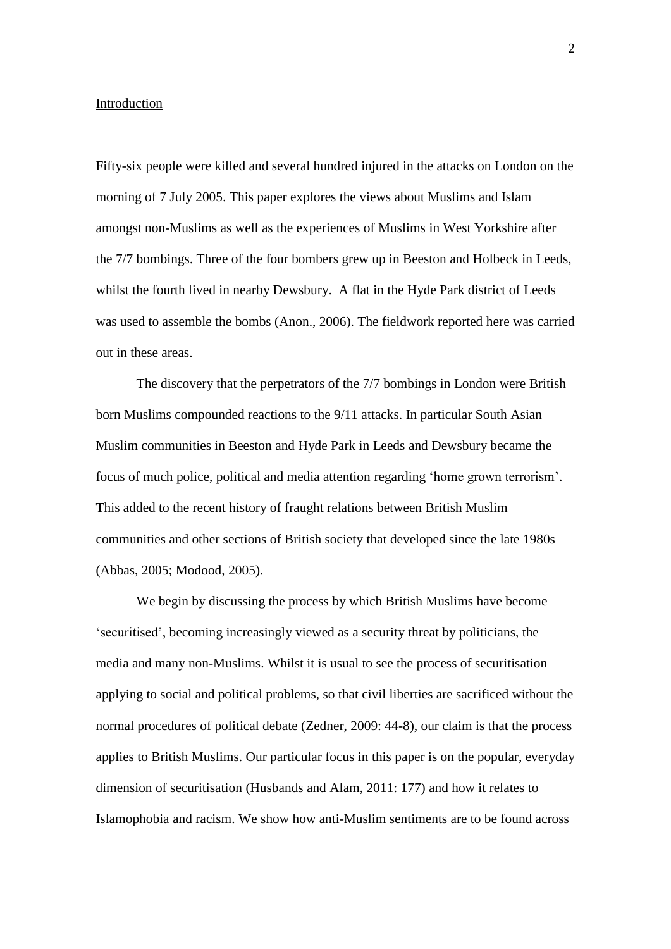#### **Introduction**

Fifty-six people were killed and several hundred injured in the attacks on London on the morning of 7 July 2005. This paper explores the views about Muslims and Islam amongst non-Muslims as well as the experiences of Muslims in West Yorkshire after the 7/7 bombings. Three of the four bombers grew up in Beeston and Holbeck in Leeds, whilst the fourth lived in nearby Dewsbury. A flat in the Hyde Park district of Leeds was used to assemble the bombs (Anon., 2006). The fieldwork reported here was carried out in these areas.

The discovery that the perpetrators of the 7/7 bombings in London were British born Muslims compounded reactions to the 9/11 attacks. In particular South Asian Muslim communities in Beeston and Hyde Park in Leeds and Dewsbury became the focus of much police, political and media attention regarding 'home grown terrorism'. This added to the recent history of fraught relations between British Muslim communities and other sections of British society that developed since the late 1980s (Abbas, 2005; Modood, 2005).

We begin by discussing the process by which British Muslims have become 'securitised', becoming increasingly viewed as a security threat by politicians, the media and many non-Muslims. Whilst it is usual to see the process of securitisation applying to social and political problems, so that civil liberties are sacrificed without the normal procedures of political debate (Zedner, 2009: 44-8), our claim is that the process applies to British Muslims. Our particular focus in this paper is on the popular, everyday dimension of securitisation (Husbands and Alam, 2011: 177) and how it relates to Islamophobia and racism. We show how anti-Muslim sentiments are to be found across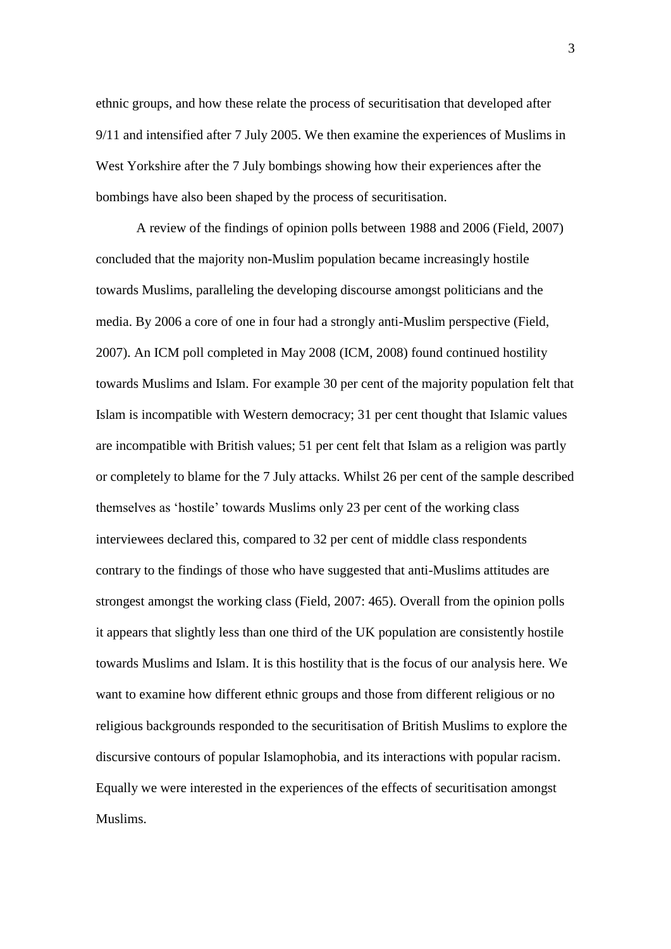ethnic groups, and how these relate the process of securitisation that developed after 9/11 and intensified after 7 July 2005. We then examine the experiences of Muslims in West Yorkshire after the 7 July bombings showing how their experiences after the bombings have also been shaped by the process of securitisation.

A review of the findings of opinion polls between 1988 and 2006 (Field, 2007) concluded that the majority non-Muslim population became increasingly hostile towards Muslims, paralleling the developing discourse amongst politicians and the media. By 2006 a core of one in four had a strongly anti-Muslim perspective (Field, 2007). An ICM poll completed in May 2008 (ICM, 2008) found continued hostility towards Muslims and Islam. For example 30 per cent of the majority population felt that Islam is incompatible with Western democracy; 31 per cent thought that Islamic values are incompatible with British values; 51 per cent felt that Islam as a religion was partly or completely to blame for the 7 July attacks. Whilst 26 per cent of the sample described themselves as 'hostile' towards Muslims only 23 per cent of the working class interviewees declared this, compared to 32 per cent of middle class respondents contrary to the findings of those who have suggested that anti-Muslims attitudes are strongest amongst the working class (Field, 2007: 465). Overall from the opinion polls it appears that slightly less than one third of the UK population are consistently hostile towards Muslims and Islam. It is this hostility that is the focus of our analysis here. We want to examine how different ethnic groups and those from different religious or no religious backgrounds responded to the securitisation of British Muslims to explore the discursive contours of popular Islamophobia, and its interactions with popular racism. Equally we were interested in the experiences of the effects of securitisation amongst Muslims.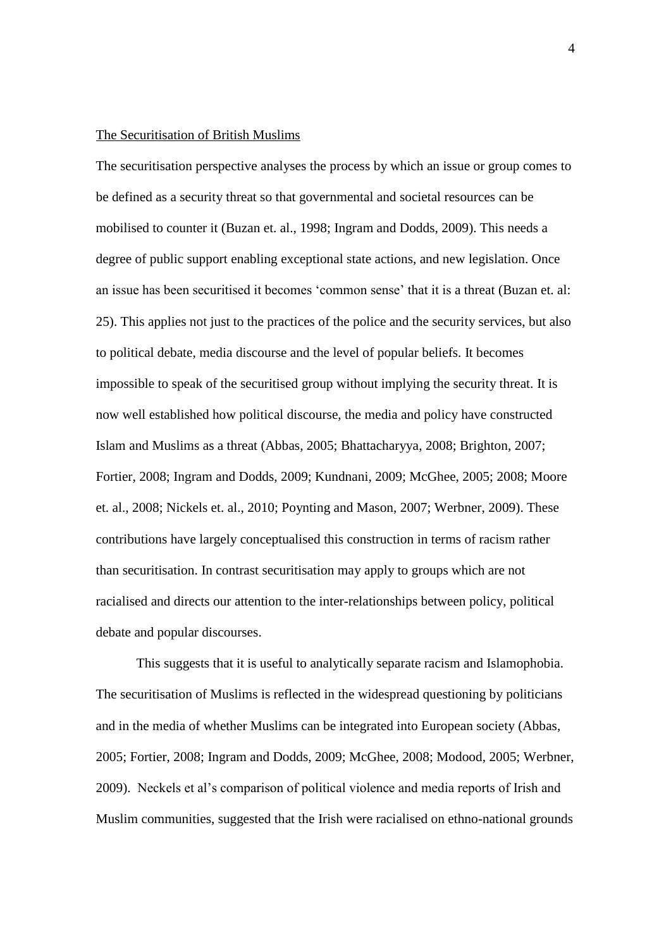#### The Securitisation of British Muslims

The securitisation perspective analyses the process by which an issue or group comes to be defined as a security threat so that governmental and societal resources can be mobilised to counter it (Buzan et. al., 1998; Ingram and Dodds, 2009). This needs a degree of public support enabling exceptional state actions, and new legislation. Once an issue has been securitised it becomes 'common sense' that it is a threat (Buzan et. al: 25). This applies not just to the practices of the police and the security services, but also to political debate, media discourse and the level of popular beliefs. It becomes impossible to speak of the securitised group without implying the security threat. It is now well established how political discourse, the media and policy have constructed Islam and Muslims as a threat (Abbas, 2005; Bhattacharyya, 2008; Brighton, 2007; Fortier, 2008; Ingram and Dodds, 2009; Kundnani, 2009; McGhee, 2005; 2008; Moore et. al., 2008; Nickels et. al., 2010; Poynting and Mason, 2007; Werbner, 2009). These contributions have largely conceptualised this construction in terms of racism rather than securitisation. In contrast securitisation may apply to groups which are not racialised and directs our attention to the inter-relationships between policy, political debate and popular discourses.

This suggests that it is useful to analytically separate racism and Islamophobia. The securitisation of Muslims is reflected in the widespread questioning by politicians and in the media of whether Muslims can be integrated into European society (Abbas, 2005; Fortier, 2008; Ingram and Dodds, 2009; McGhee, 2008; Modood, 2005; Werbner, 2009). Neckels et al's comparison of political violence and media reports of Irish and Muslim communities, suggested that the Irish were racialised on ethno-national grounds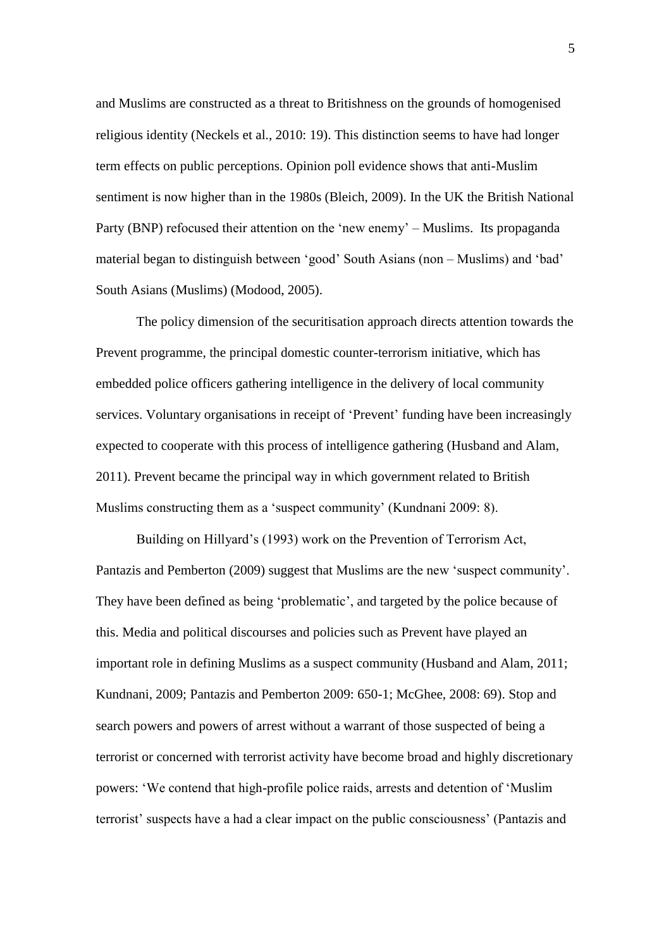and Muslims are constructed as a threat to Britishness on the grounds of homogenised religious identity (Neckels et al., 2010: 19). This distinction seems to have had longer term effects on public perceptions. Opinion poll evidence shows that anti-Muslim sentiment is now higher than in the 1980s (Bleich, 2009). In the UK the British National Party (BNP) refocused their attention on the 'new enemy' – Muslims. Its propaganda material began to distinguish between 'good' South Asians (non – Muslims) and 'bad' South Asians (Muslims) (Modood, 2005).

The policy dimension of the securitisation approach directs attention towards the Prevent programme, the principal domestic counter-terrorism initiative, which has embedded police officers gathering intelligence in the delivery of local community services. Voluntary organisations in receipt of 'Prevent' funding have been increasingly expected to cooperate with this process of intelligence gathering (Husband and Alam, 2011). Prevent became the principal way in which government related to British Muslims constructing them as a 'suspect community' (Kundnani 2009: 8).

Building on Hillyard's (1993) work on the Prevention of Terrorism Act, Pantazis and Pemberton (2009) suggest that Muslims are the new 'suspect community'. They have been defined as being 'problematic', and targeted by the police because of this. Media and political discourses and policies such as Prevent have played an important role in defining Muslims as a suspect community (Husband and Alam, 2011; Kundnani, 2009; Pantazis and Pemberton 2009: 650-1; McGhee, 2008: 69). Stop and search powers and powers of arrest without a warrant of those suspected of being a terrorist or concerned with terrorist activity have become broad and highly discretionary powers: 'We contend that high-profile police raids, arrests and detention of 'Muslim terrorist' suspects have a had a clear impact on the public consciousness' (Pantazis and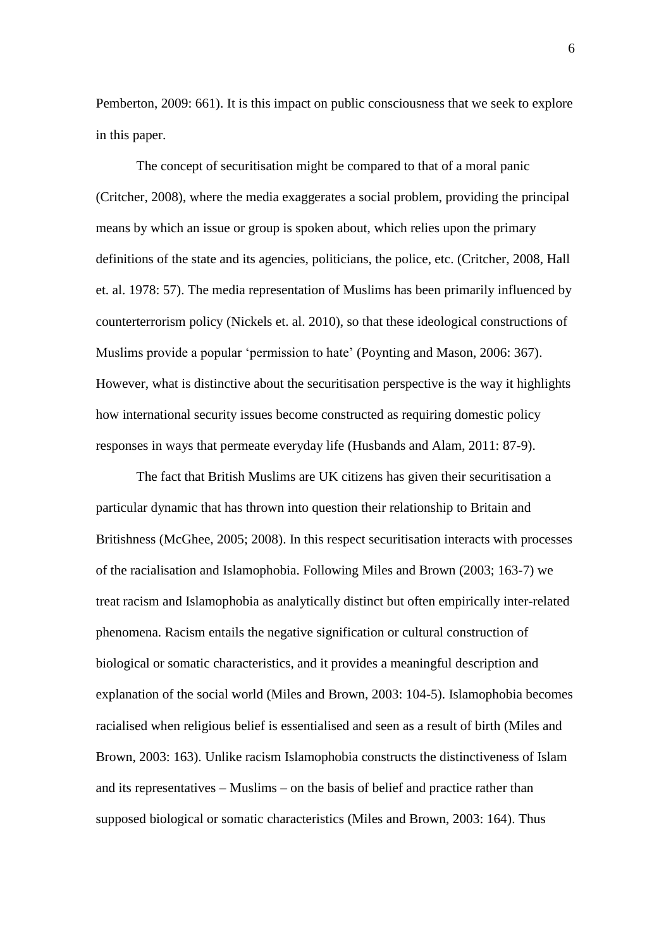Pemberton, 2009: 661). It is this impact on public consciousness that we seek to explore in this paper.

The concept of securitisation might be compared to that of a moral panic (Critcher, 2008), where the media exaggerates a social problem, providing the principal means by which an issue or group is spoken about, which relies upon the primary definitions of the state and its agencies, politicians, the police, etc. (Critcher, 2008, Hall et. al. 1978: 57). The media representation of Muslims has been primarily influenced by counterterrorism policy (Nickels et. al. 2010), so that these ideological constructions of Muslims provide a popular 'permission to hate' (Poynting and Mason, 2006: 367). However, what is distinctive about the securitisation perspective is the way it highlights how international security issues become constructed as requiring domestic policy responses in ways that permeate everyday life (Husbands and Alam, 2011: 87-9).

 The fact that British Muslims are UK citizens has given their securitisation a particular dynamic that has thrown into question their relationship to Britain and Britishness (McGhee, 2005; 2008). In this respect securitisation interacts with processes of the racialisation and Islamophobia. Following Miles and Brown (2003; 163-7) we treat racism and Islamophobia as analytically distinct but often empirically inter-related phenomena. Racism entails the negative signification or cultural construction of biological or somatic characteristics, and it provides a meaningful description and explanation of the social world (Miles and Brown, 2003: 104-5). Islamophobia becomes racialised when religious belief is essentialised and seen as a result of birth (Miles and Brown, 2003: 163). Unlike racism Islamophobia constructs the distinctiveness of Islam and its representatives – Muslims – on the basis of belief and practice rather than supposed biological or somatic characteristics (Miles and Brown, 2003: 164). Thus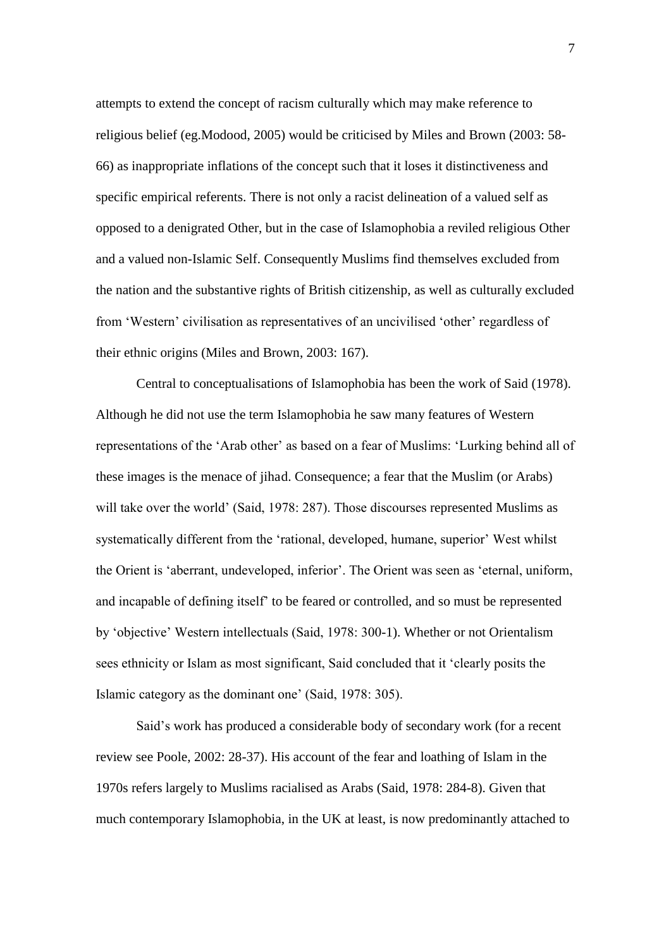attempts to extend the concept of racism culturally which may make reference to religious belief (eg.Modood, 2005) would be criticised by Miles and Brown (2003: 58- 66) as inappropriate inflations of the concept such that it loses it distinctiveness and specific empirical referents. There is not only a racist delineation of a valued self as opposed to a denigrated Other, but in the case of Islamophobia a reviled religious Other and a valued non-Islamic Self. Consequently Muslims find themselves excluded from the nation and the substantive rights of British citizenship, as well as culturally excluded from 'Western' civilisation as representatives of an uncivilised 'other' regardless of their ethnic origins (Miles and Brown, 2003: 167).

Central to conceptualisations of Islamophobia has been the work of Said (1978). Although he did not use the term Islamophobia he saw many features of Western representations of the 'Arab other' as based on a fear of Muslims: 'Lurking behind all of these images is the menace of jihad. Consequence; a fear that the Muslim (or Arabs) will take over the world' (Said, 1978: 287). Those discourses represented Muslims as systematically different from the 'rational, developed, humane, superior' West whilst the Orient is 'aberrant, undeveloped, inferior'. The Orient was seen as 'eternal, uniform, and incapable of defining itself' to be feared or controlled, and so must be represented by 'objective' Western intellectuals (Said, 1978: 300-1). Whether or not Orientalism sees ethnicity or Islam as most significant, Said concluded that it 'clearly posits the Islamic category as the dominant one' (Said, 1978: 305).

Said's work has produced a considerable body of secondary work (for a recent review see Poole, 2002: 28-37). His account of the fear and loathing of Islam in the 1970s refers largely to Muslims racialised as Arabs (Said, 1978: 284-8). Given that much contemporary Islamophobia, in the UK at least, is now predominantly attached to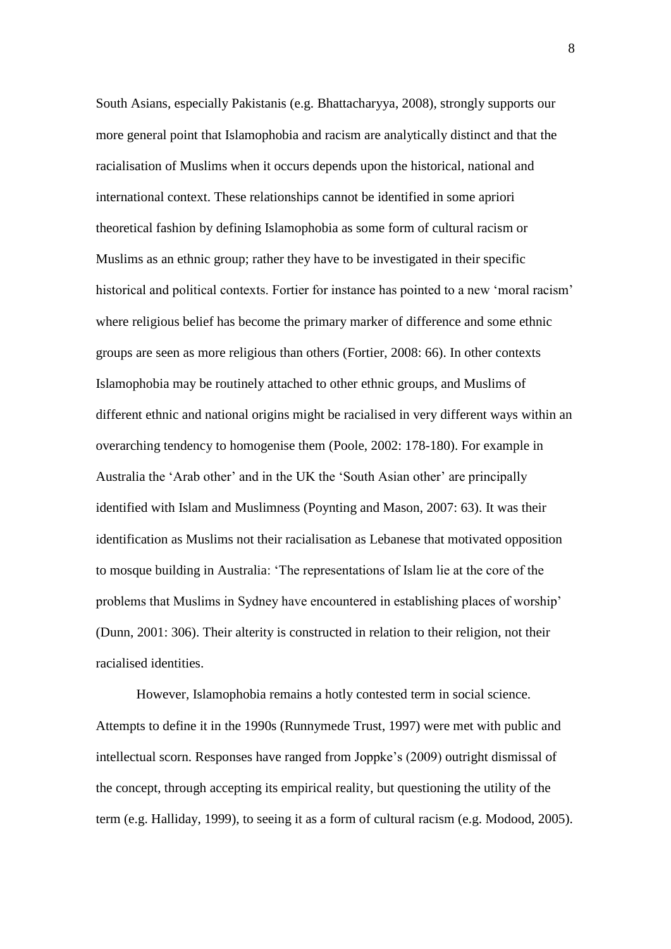South Asians, especially Pakistanis (e.g. Bhattacharyya, 2008), strongly supports our more general point that Islamophobia and racism are analytically distinct and that the racialisation of Muslims when it occurs depends upon the historical, national and international context. These relationships cannot be identified in some apriori theoretical fashion by defining Islamophobia as some form of cultural racism or Muslims as an ethnic group; rather they have to be investigated in their specific historical and political contexts. Fortier for instance has pointed to a new 'moral racism' where religious belief has become the primary marker of difference and some ethnic groups are seen as more religious than others (Fortier, 2008: 66). In other contexts Islamophobia may be routinely attached to other ethnic groups, and Muslims of different ethnic and national origins might be racialised in very different ways within an overarching tendency to homogenise them (Poole, 2002: 178-180). For example in Australia the 'Arab other' and in the UK the 'South Asian other' are principally identified with Islam and Muslimness (Poynting and Mason, 2007: 63). It was their identification as Muslims not their racialisation as Lebanese that motivated opposition to mosque building in Australia: 'The representations of Islam lie at the core of the problems that Muslims in Sydney have encountered in establishing places of worship' (Dunn, 2001: 306). Their alterity is constructed in relation to their religion, not their racialised identities.

However, Islamophobia remains a hotly contested term in social science. Attempts to define it in the 1990s (Runnymede Trust, 1997) were met with public and intellectual scorn. Responses have ranged from Joppke's (2009) outright dismissal of the concept, through accepting its empirical reality, but questioning the utility of the term (e.g. Halliday, 1999), to seeing it as a form of cultural racism (e.g. Modood, 2005).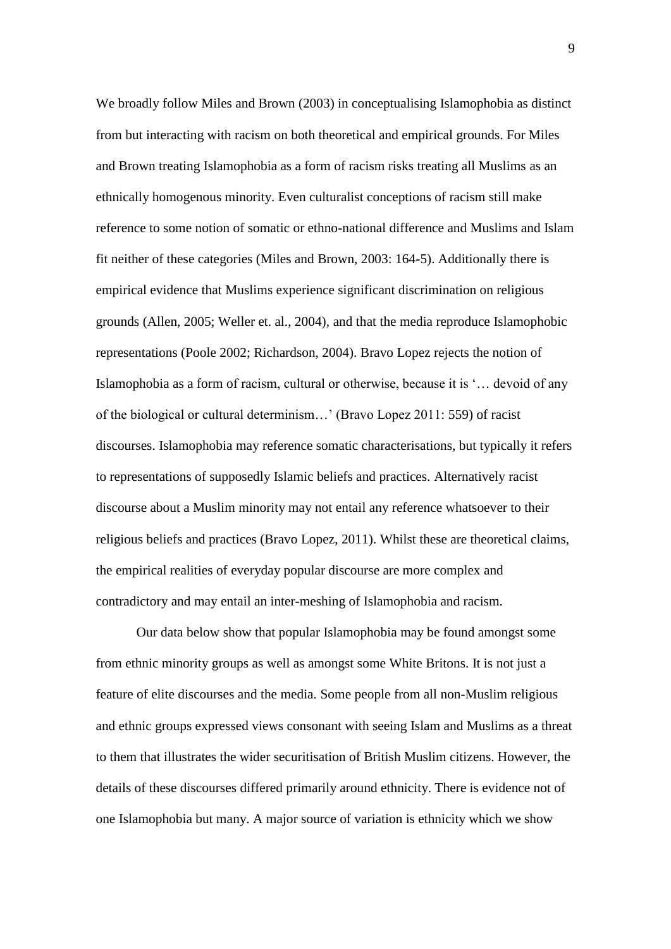We broadly follow Miles and Brown (2003) in conceptualising Islamophobia as distinct from but interacting with racism on both theoretical and empirical grounds. For Miles and Brown treating Islamophobia as a form of racism risks treating all Muslims as an ethnically homogenous minority. Even culturalist conceptions of racism still make reference to some notion of somatic or ethno-national difference and Muslims and Islam fit neither of these categories (Miles and Brown, 2003: 164-5). Additionally there is empirical evidence that Muslims experience significant discrimination on religious grounds (Allen, 2005; Weller et. al., 2004), and that the media reproduce Islamophobic representations (Poole 2002; Richardson, 2004). Bravo Lopez rejects the notion of Islamophobia as a form of racism, cultural or otherwise, because it is '… devoid of any of the biological or cultural determinism…' (Bravo Lopez 2011: 559) of racist discourses. Islamophobia may reference somatic characterisations, but typically it refers to representations of supposedly Islamic beliefs and practices. Alternatively racist discourse about a Muslim minority may not entail any reference whatsoever to their religious beliefs and practices (Bravo Lopez, 2011). Whilst these are theoretical claims, the empirical realities of everyday popular discourse are more complex and contradictory and may entail an inter-meshing of Islamophobia and racism.

Our data below show that popular Islamophobia may be found amongst some from ethnic minority groups as well as amongst some White Britons. It is not just a feature of elite discourses and the media. Some people from all non-Muslim religious and ethnic groups expressed views consonant with seeing Islam and Muslims as a threat to them that illustrates the wider securitisation of British Muslim citizens. However, the details of these discourses differed primarily around ethnicity. There is evidence not of one Islamophobia but many. A major source of variation is ethnicity which we show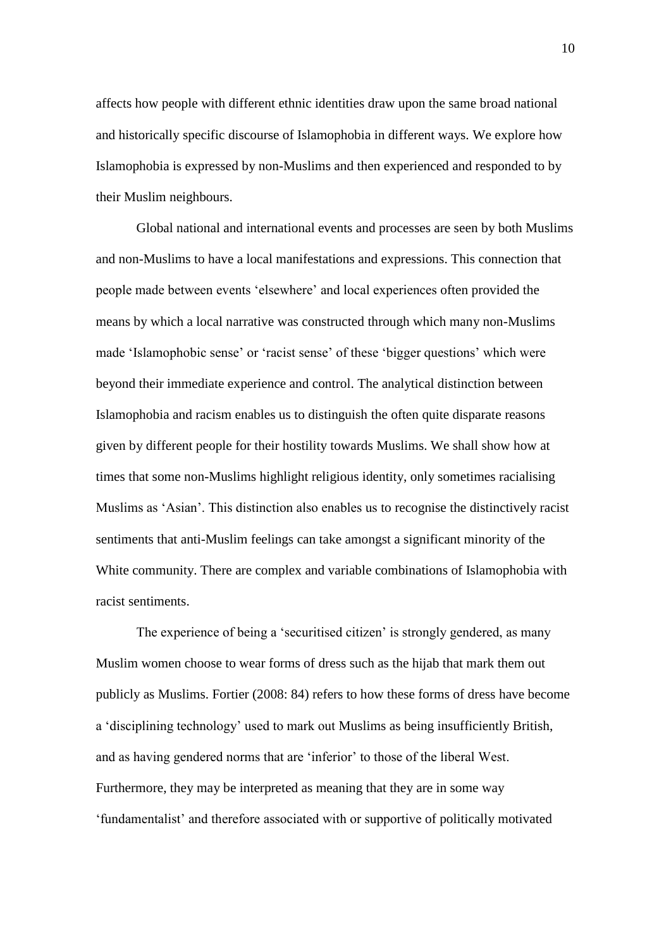affects how people with different ethnic identities draw upon the same broad national and historically specific discourse of Islamophobia in different ways. We explore how Islamophobia is expressed by non-Muslims and then experienced and responded to by their Muslim neighbours.

Global national and international events and processes are seen by both Muslims and non-Muslims to have a local manifestations and expressions. This connection that people made between events 'elsewhere' and local experiences often provided the means by which a local narrative was constructed through which many non-Muslims made 'Islamophobic sense' or 'racist sense' of these 'bigger questions' which were beyond their immediate experience and control. The analytical distinction between Islamophobia and racism enables us to distinguish the often quite disparate reasons given by different people for their hostility towards Muslims. We shall show how at times that some non-Muslims highlight religious identity, only sometimes racialising Muslims as 'Asian'. This distinction also enables us to recognise the distinctively racist sentiments that anti-Muslim feelings can take amongst a significant minority of the White community. There are complex and variable combinations of Islamophobia with racist sentiments.

The experience of being a 'securitised citizen' is strongly gendered, as many Muslim women choose to wear forms of dress such as the hijab that mark them out publicly as Muslims. Fortier (2008: 84) refers to how these forms of dress have become a 'disciplining technology' used to mark out Muslims as being insufficiently British, and as having gendered norms that are 'inferior' to those of the liberal West. Furthermore, they may be interpreted as meaning that they are in some way 'fundamentalist' and therefore associated with or supportive of politically motivated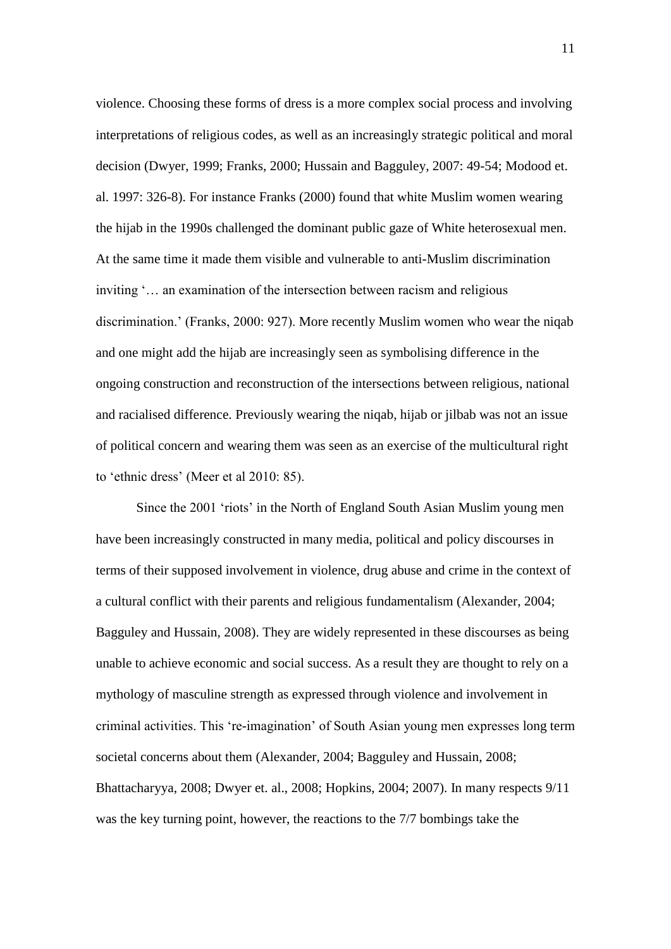violence. Choosing these forms of dress is a more complex social process and involving interpretations of religious codes, as well as an increasingly strategic political and moral decision (Dwyer, 1999; Franks, 2000; Hussain and Bagguley, 2007: 49-54; Modood et. al. 1997: 326-8). For instance Franks (2000) found that white Muslim women wearing the hijab in the 1990s challenged the dominant public gaze of White heterosexual men. At the same time it made them visible and vulnerable to anti-Muslim discrimination inviting '… an examination of the intersection between racism and religious discrimination.' (Franks, 2000: 927). More recently Muslim women who wear the niqab and one might add the hijab are increasingly seen as symbolising difference in the ongoing construction and reconstruction of the intersections between religious, national and racialised difference. Previously wearing the niqab, hijab or jilbab was not an issue of political concern and wearing them was seen as an exercise of the multicultural right to 'ethnic dress' (Meer et al 2010: 85).

Since the 2001 'riots' in the North of England South Asian Muslim young men have been increasingly constructed in many media, political and policy discourses in terms of their supposed involvement in violence, drug abuse and crime in the context of a cultural conflict with their parents and religious fundamentalism (Alexander, 2004; Bagguley and Hussain, 2008). They are widely represented in these discourses as being unable to achieve economic and social success. As a result they are thought to rely on a mythology of masculine strength as expressed through violence and involvement in criminal activities. This 're-imagination' of South Asian young men expresses long term societal concerns about them (Alexander, 2004; Bagguley and Hussain, 2008; Bhattacharyya, 2008; Dwyer et. al., 2008; Hopkins, 2004; 2007). In many respects 9/11 was the key turning point, however, the reactions to the 7/7 bombings take the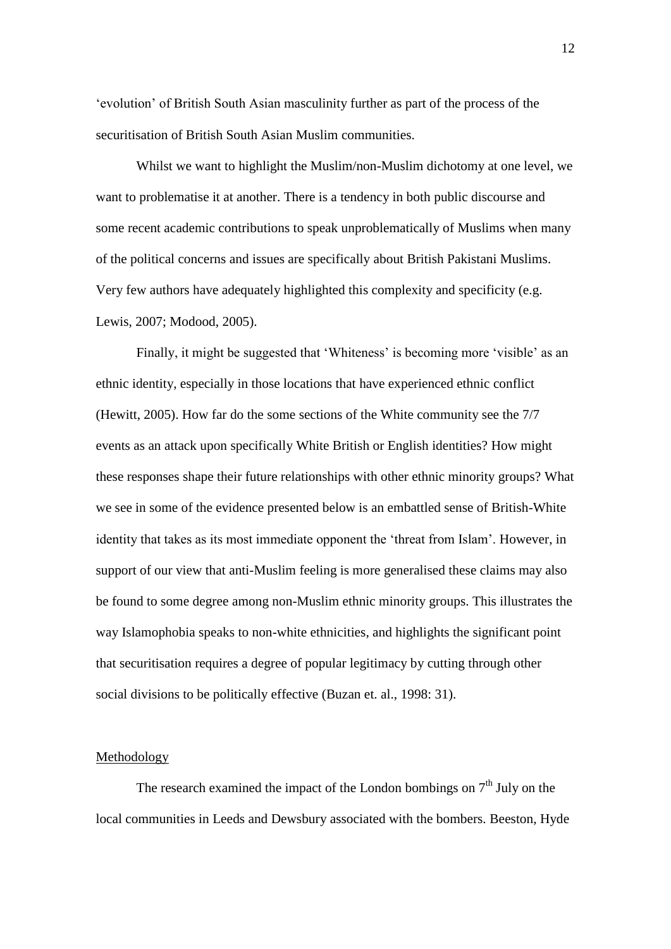'evolution' of British South Asian masculinity further as part of the process of the securitisation of British South Asian Muslim communities.

Whilst we want to highlight the Muslim/non-Muslim dichotomy at one level, we want to problematise it at another. There is a tendency in both public discourse and some recent academic contributions to speak unproblematically of Muslims when many of the political concerns and issues are specifically about British Pakistani Muslims. Very few authors have adequately highlighted this complexity and specificity (e.g. Lewis, 2007; Modood, 2005).

Finally, it might be suggested that 'Whiteness' is becoming more 'visible' as an ethnic identity, especially in those locations that have experienced ethnic conflict (Hewitt, 2005). How far do the some sections of the White community see the 7/7 events as an attack upon specifically White British or English identities? How might these responses shape their future relationships with other ethnic minority groups? What we see in some of the evidence presented below is an embattled sense of British-White identity that takes as its most immediate opponent the 'threat from Islam'. However, in support of our view that anti-Muslim feeling is more generalised these claims may also be found to some degree among non-Muslim ethnic minority groups. This illustrates the way Islamophobia speaks to non-white ethnicities, and highlights the significant point that securitisation requires a degree of popular legitimacy by cutting through other social divisions to be politically effective (Buzan et. al., 1998: 31).

#### **Methodology**

The research examined the impact of the London bombings on  $7<sup>th</sup>$  July on the local communities in Leeds and Dewsbury associated with the bombers. Beeston, Hyde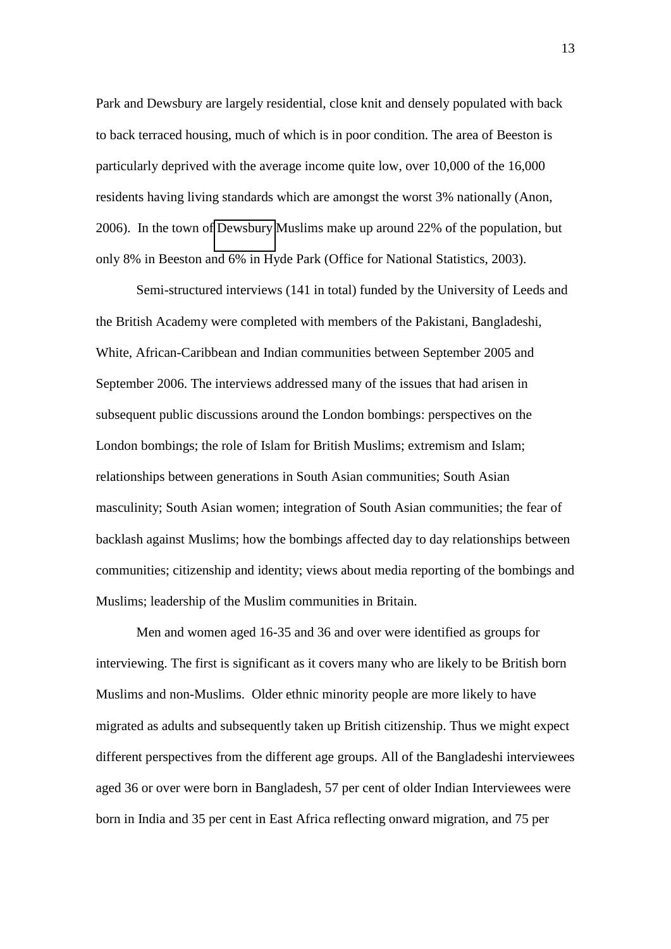Park and Dewsbury are largely residential, close knit and densely populated with back to back terraced housing, much of which is in poor condition. The area of Beeston is particularly deprived with the average income quite low, over 10,000 of the 16,000 residents having living standards which are amongst the worst 3% nationally (Anon, 2006). In the town of [Dewsbury](http://en.wikipedia.org/wiki/Dewsbury) Muslims make up around 22% of the population, but only 8% in Beeston and 6% in Hyde Park (Office for National Statistics, 2003).

Semi-structured interviews (141 in total) funded by the University of Leeds and the British Academy were completed with members of the Pakistani, Bangladeshi, White, African-Caribbean and Indian communities between September 2005 and September 2006. The interviews addressed many of the issues that had arisen in subsequent public discussions around the London bombings: perspectives on the London bombings; the role of Islam for British Muslims; extremism and Islam; relationships between generations in South Asian communities; South Asian masculinity; South Asian women; integration of South Asian communities; the fear of backlash against Muslims; how the bombings affected day to day relationships between communities; citizenship and identity; views about media reporting of the bombings and Muslims; leadership of the Muslim communities in Britain.

Men and women aged 16-35 and 36 and over were identified as groups for interviewing. The first is significant as it covers many who are likely to be British born Muslims and non-Muslims. Older ethnic minority people are more likely to have migrated as adults and subsequently taken up British citizenship. Thus we might expect different perspectives from the different age groups. All of the Bangladeshi interviewees aged 36 or over were born in Bangladesh, 57 per cent of older Indian Interviewees were born in India and 35 per cent in East Africa reflecting onward migration, and 75 per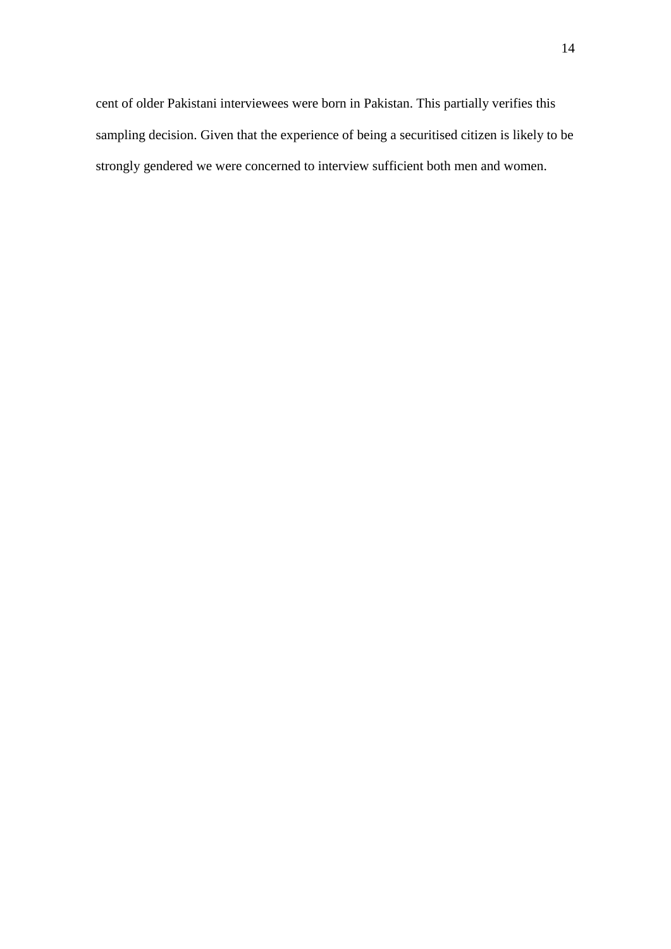cent of older Pakistani interviewees were born in Pakistan. This partially verifies this sampling decision. Given that the experience of being a securitised citizen is likely to be strongly gendered we were concerned to interview sufficient both men and women.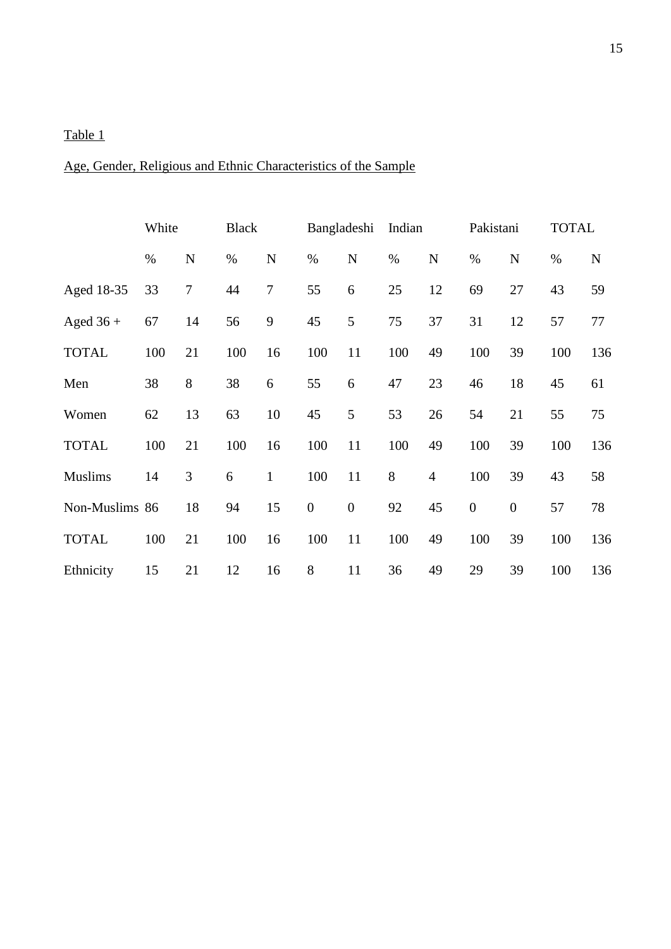### Table 1

## Age, Gender, Religious and Ethnic Characteristics of the Sample

|                | White |             | <b>Black</b> |                  | Bangladeshi      |                  | Indian |                | Pakistani        |                | <b>TOTAL</b> |             |
|----------------|-------|-------------|--------------|------------------|------------------|------------------|--------|----------------|------------------|----------------|--------------|-------------|
|                | $\%$  | $\mathbf N$ | $\%$         | ${\bf N}$        | $\%$             | $\mathbf N$      | $\%$   | $\mathbf N$    | $\%$             | $\mathbf N$    | $\%$         | $\mathbf N$ |
| Aged 18-35     | 33    | $\tau$      | 44           | $\boldsymbol{7}$ | 55               | 6                | 25     | 12             | 69               | 27             | 43           | 59          |
| Aged $36 +$    | 67    | 14          | 56           | 9                | 45               | 5                | 75     | 37             | 31               | 12             | 57           | 77          |
| <b>TOTAL</b>   | 100   | 21          | 100          | 16               | 100              | 11               | 100    | 49             | 100              | 39             | 100          | 136         |
| Men            | 38    | 8           | 38           | 6                | 55               | 6                | 47     | 23             | 46               | 18             | 45           | 61          |
| Women          | 62    | 13          | 63           | 10               | 45               | 5                | 53     | 26             | 54               | 21             | 55           | 75          |
| <b>TOTAL</b>   | 100   | 21          | 100          | 16               | 100              | 11               | 100    | 49             | 100              | 39             | 100          | 136         |
| <b>Muslims</b> | 14    | 3           | 6            | $\mathbf{1}$     | 100              | 11               | $8\,$  | $\overline{4}$ | 100              | 39             | 43           | 58          |
| Non-Muslims 86 |       | 18          | 94           | 15               | $\boldsymbol{0}$ | $\boldsymbol{0}$ | 92     | 45             | $\boldsymbol{0}$ | $\overline{0}$ | 57           | 78          |
| <b>TOTAL</b>   | 100   | 21          | 100          | 16               | 100              | 11               | 100    | 49             | 100              | 39             | 100          | 136         |
| Ethnicity      | 15    | 21          | 12           | 16               | 8                | 11               | 36     | 49             | 29               | 39             | 100          | 136         |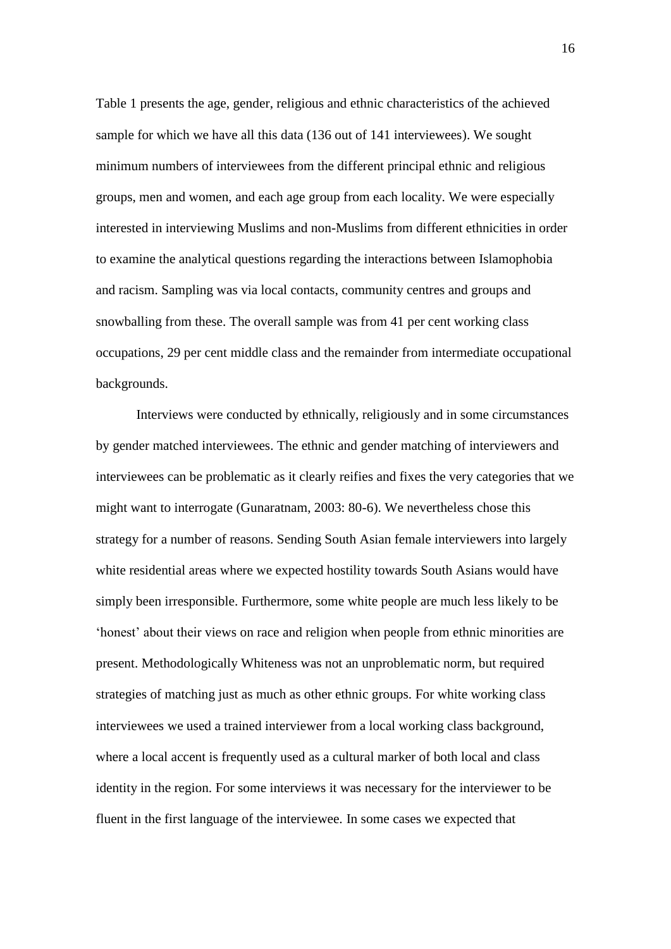Table 1 presents the age, gender, religious and ethnic characteristics of the achieved sample for which we have all this data (136 out of 141 interviewees). We sought minimum numbers of interviewees from the different principal ethnic and religious groups, men and women, and each age group from each locality. We were especially interested in interviewing Muslims and non-Muslims from different ethnicities in order to examine the analytical questions regarding the interactions between Islamophobia and racism. Sampling was via local contacts, community centres and groups and snowballing from these. The overall sample was from 41 per cent working class occupations, 29 per cent middle class and the remainder from intermediate occupational backgrounds.

Interviews were conducted by ethnically, religiously and in some circumstances by gender matched interviewees. The ethnic and gender matching of interviewers and interviewees can be problematic as it clearly reifies and fixes the very categories that we might want to interrogate (Gunaratnam, 2003: 80-6). We nevertheless chose this strategy for a number of reasons. Sending South Asian female interviewers into largely white residential areas where we expected hostility towards South Asians would have simply been irresponsible. Furthermore, some white people are much less likely to be 'honest' about their views on race and religion when people from ethnic minorities are present. Methodologically Whiteness was not an unproblematic norm, but required strategies of matching just as much as other ethnic groups. For white working class interviewees we used a trained interviewer from a local working class background, where a local accent is frequently used as a cultural marker of both local and class identity in the region. For some interviews it was necessary for the interviewer to be fluent in the first language of the interviewee. In some cases we expected that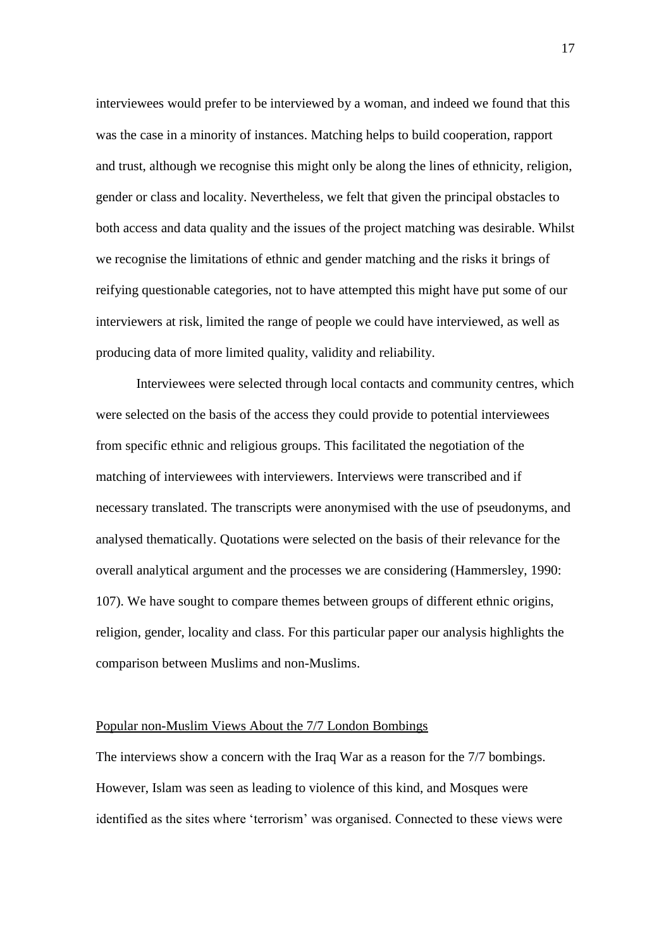interviewees would prefer to be interviewed by a woman, and indeed we found that this was the case in a minority of instances. Matching helps to build cooperation, rapport and trust, although we recognise this might only be along the lines of ethnicity, religion, gender or class and locality. Nevertheless, we felt that given the principal obstacles to both access and data quality and the issues of the project matching was desirable. Whilst we recognise the limitations of ethnic and gender matching and the risks it brings of reifying questionable categories, not to have attempted this might have put some of our interviewers at risk, limited the range of people we could have interviewed, as well as producing data of more limited quality, validity and reliability.

Interviewees were selected through local contacts and community centres, which were selected on the basis of the access they could provide to potential interviewees from specific ethnic and religious groups. This facilitated the negotiation of the matching of interviewees with interviewers. Interviews were transcribed and if necessary translated. The transcripts were anonymised with the use of pseudonyms, and analysed thematically. Quotations were selected on the basis of their relevance for the overall analytical argument and the processes we are considering (Hammersley, 1990: 107). We have sought to compare themes between groups of different ethnic origins, religion, gender, locality and class. For this particular paper our analysis highlights the comparison between Muslims and non-Muslims.

#### Popular non-Muslim Views About the 7/7 London Bombings

The interviews show a concern with the Iraq War as a reason for the 7/7 bombings. However, Islam was seen as leading to violence of this kind, and Mosques were identified as the sites where 'terrorism' was organised. Connected to these views were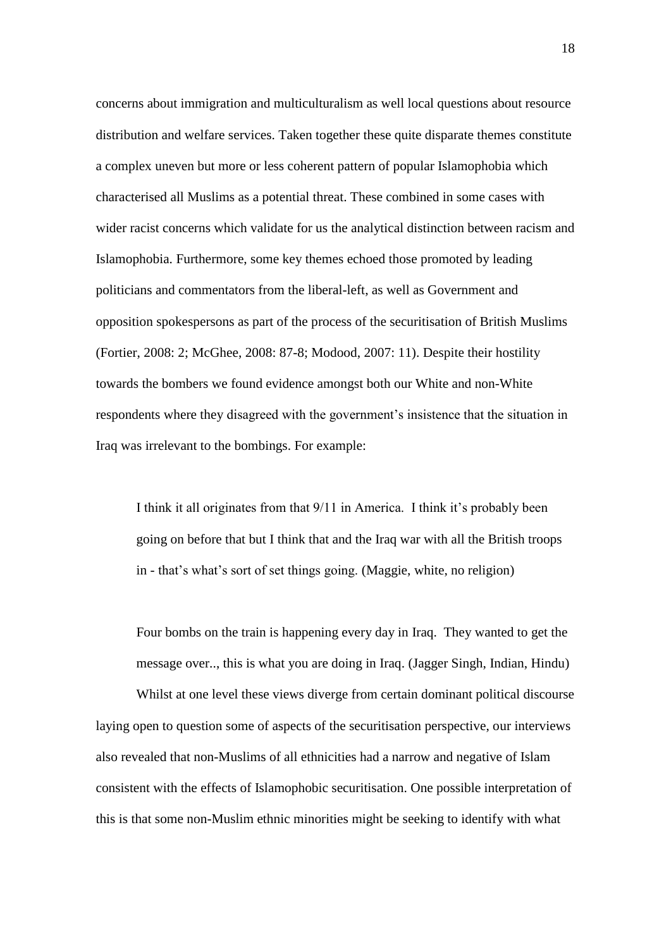concerns about immigration and multiculturalism as well local questions about resource distribution and welfare services. Taken together these quite disparate themes constitute a complex uneven but more or less coherent pattern of popular Islamophobia which characterised all Muslims as a potential threat. These combined in some cases with wider racist concerns which validate for us the analytical distinction between racism and Islamophobia. Furthermore, some key themes echoed those promoted by leading politicians and commentators from the liberal-left, as well as Government and opposition spokespersons as part of the process of the securitisation of British Muslims (Fortier, 2008: 2; McGhee, 2008: 87-8; Modood, 2007: 11). Despite their hostility towards the bombers we found evidence amongst both our White and non-White respondents where they disagreed with the government's insistence that the situation in Iraq was irrelevant to the bombings. For example:

I think it all originates from that 9/11 in America. I think it's probably been going on before that but I think that and the Iraq war with all the British troops in - that's what's sort of set things going. (Maggie, white, no religion)

 Four bombs on the train is happening every day in Iraq. They wanted to get the message over.., this is what you are doing in Iraq. (Jagger Singh, Indian, Hindu)

Whilst at one level these views diverge from certain dominant political discourse laying open to question some of aspects of the securitisation perspective, our interviews also revealed that non-Muslims of all ethnicities had a narrow and negative of Islam consistent with the effects of Islamophobic securitisation. One possible interpretation of this is that some non-Muslim ethnic minorities might be seeking to identify with what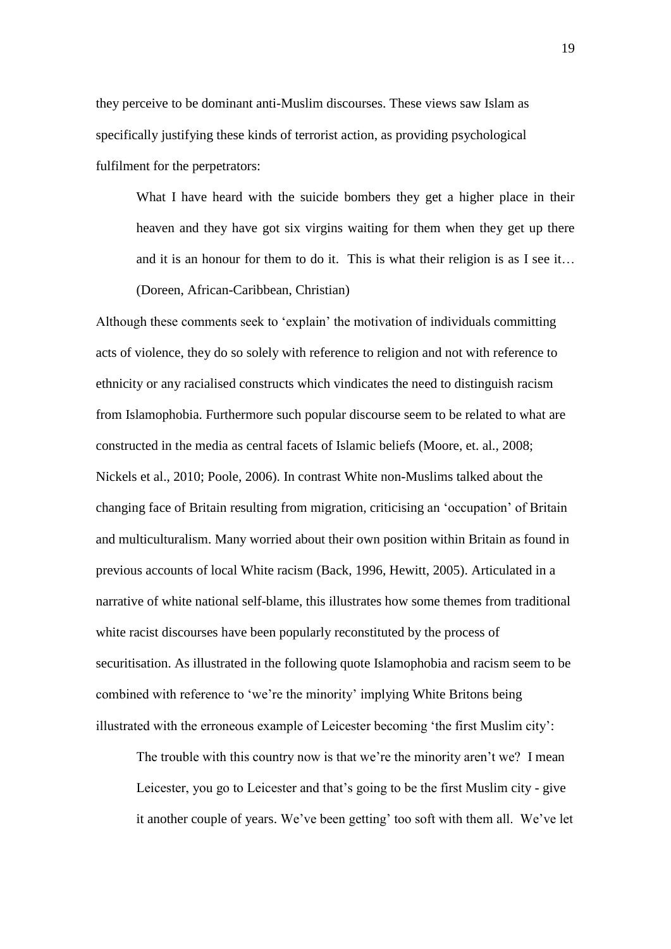they perceive to be dominant anti-Muslim discourses. These views saw Islam as specifically justifying these kinds of terrorist action, as providing psychological fulfilment for the perpetrators:

What I have heard with the suicide bombers they get a higher place in their heaven and they have got six virgins waiting for them when they get up there and it is an honour for them to do it. This is what their religion is as I see it… (Doreen, African-Caribbean, Christian)

Although these comments seek to 'explain' the motivation of individuals committing acts of violence, they do so solely with reference to religion and not with reference to ethnicity or any racialised constructs which vindicates the need to distinguish racism from Islamophobia. Furthermore such popular discourse seem to be related to what are constructed in the media as central facets of Islamic beliefs (Moore, et. al., 2008; Nickels et al., 2010; Poole, 2006). In contrast White non-Muslims talked about the changing face of Britain resulting from migration, criticising an 'occupation' of Britain and multiculturalism. Many worried about their own position within Britain as found in previous accounts of local White racism (Back, 1996, Hewitt, 2005). Articulated in a narrative of white national self-blame, this illustrates how some themes from traditional white racist discourses have been popularly reconstituted by the process of securitisation. As illustrated in the following quote Islamophobia and racism seem to be combined with reference to 'we're the minority' implying White Britons being illustrated with the erroneous example of Leicester becoming 'the first Muslim city':

The trouble with this country now is that we're the minority aren't we? I mean Leicester, you go to Leicester and that's going to be the first Muslim city - give it another couple of years. We've been getting' too soft with them all. We've let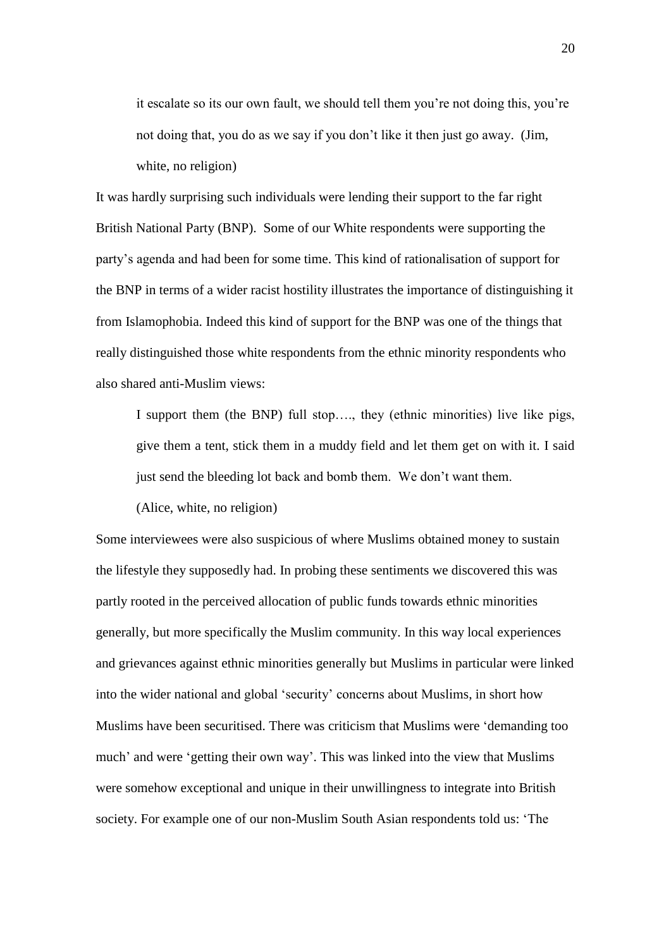it escalate so its our own fault, we should tell them you're not doing this, you're not doing that, you do as we say if you don't like it then just go away. (Jim, white, no religion)

It was hardly surprising such individuals were lending their support to the far right British National Party (BNP). Some of our White respondents were supporting the party's agenda and had been for some time. This kind of rationalisation of support for the BNP in terms of a wider racist hostility illustrates the importance of distinguishing it from Islamophobia. Indeed this kind of support for the BNP was one of the things that really distinguished those white respondents from the ethnic minority respondents who also shared anti-Muslim views:

 I support them (the BNP) full stop…., they (ethnic minorities) live like pigs, give them a tent, stick them in a muddy field and let them get on with it. I said just send the bleeding lot back and bomb them. We don't want them.

(Alice, white, no religion)

Some interviewees were also suspicious of where Muslims obtained money to sustain the lifestyle they supposedly had. In probing these sentiments we discovered this was partly rooted in the perceived allocation of public funds towards ethnic minorities generally, but more specifically the Muslim community. In this way local experiences and grievances against ethnic minorities generally but Muslims in particular were linked into the wider national and global 'security' concerns about Muslims, in short how Muslims have been securitised. There was criticism that Muslims were 'demanding too much' and were 'getting their own way'. This was linked into the view that Muslims were somehow exceptional and unique in their unwillingness to integrate into British society. For example one of our non-Muslim South Asian respondents told us: 'The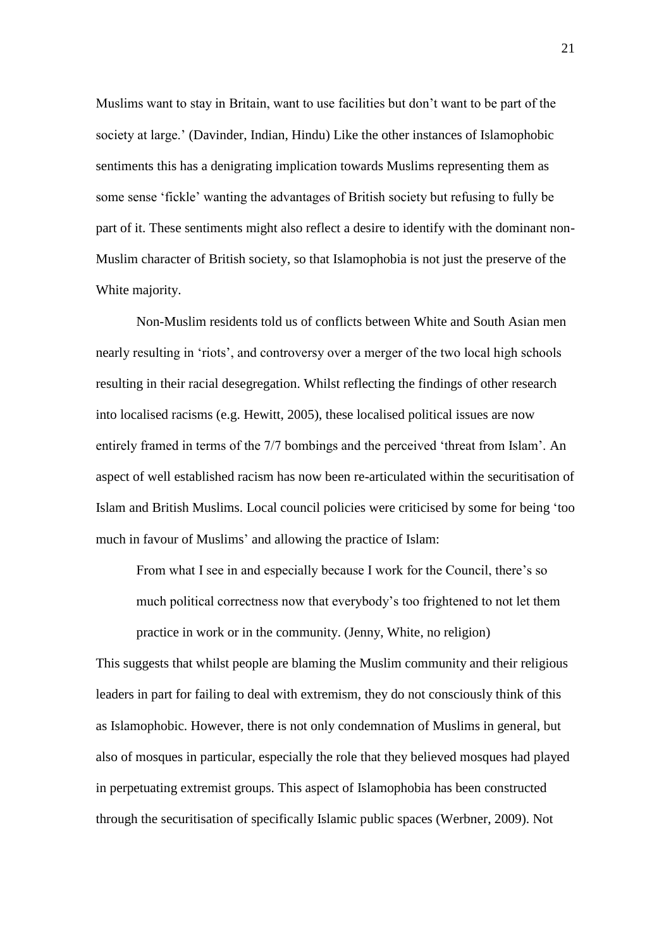Muslims want to stay in Britain, want to use facilities but don't want to be part of the society at large.' (Davinder, Indian, Hindu) Like the other instances of Islamophobic sentiments this has a denigrating implication towards Muslims representing them as some sense 'fickle' wanting the advantages of British society but refusing to fully be part of it. These sentiments might also reflect a desire to identify with the dominant non-Muslim character of British society, so that Islamophobia is not just the preserve of the White majority.

Non-Muslim residents told us of conflicts between White and South Asian men nearly resulting in 'riots', and controversy over a merger of the two local high schools resulting in their racial desegregation. Whilst reflecting the findings of other research into localised racisms (e.g. Hewitt, 2005), these localised political issues are now entirely framed in terms of the 7/7 bombings and the perceived 'threat from Islam'. An aspect of well established racism has now been re-articulated within the securitisation of Islam and British Muslims. Local council policies were criticised by some for being 'too much in favour of Muslims' and allowing the practice of Islam:

From what I see in and especially because I work for the Council, there's so much political correctness now that everybody's too frightened to not let them practice in work or in the community. (Jenny, White, no religion)

This suggests that whilst people are blaming the Muslim community and their religious leaders in part for failing to deal with extremism, they do not consciously think of this as Islamophobic. However, there is not only condemnation of Muslims in general, but also of mosques in particular, especially the role that they believed mosques had played in perpetuating extremist groups. This aspect of Islamophobia has been constructed through the securitisation of specifically Islamic public spaces (Werbner, 2009). Not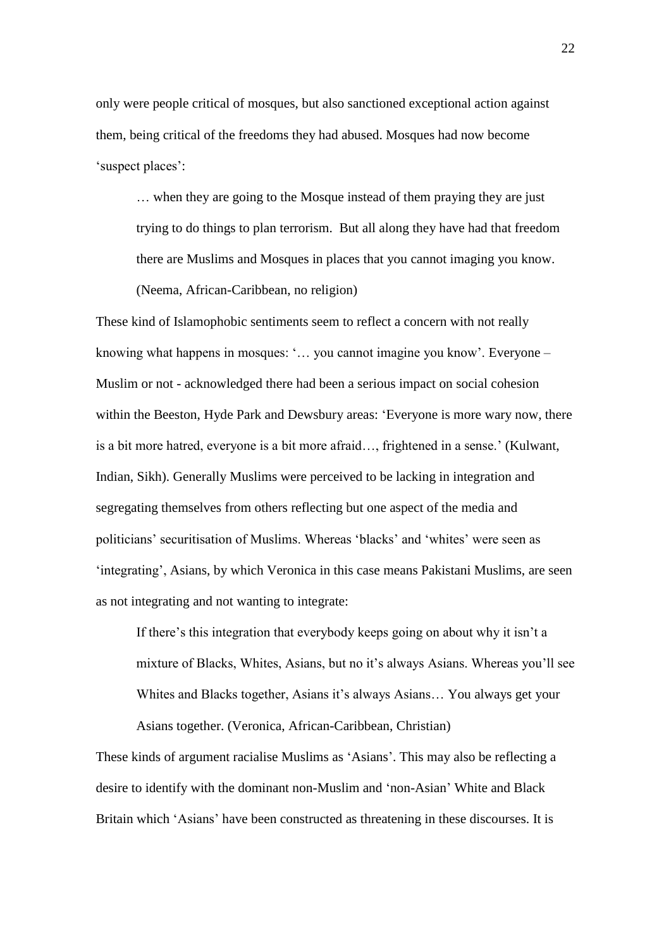only were people critical of mosques, but also sanctioned exceptional action against them, being critical of the freedoms they had abused. Mosques had now become 'suspect places':

… when they are going to the Mosque instead of them praying they are just trying to do things to plan terrorism. But all along they have had that freedom there are Muslims and Mosques in places that you cannot imaging you know. (Neema, African-Caribbean, no religion)

These kind of Islamophobic sentiments seem to reflect a concern with not really knowing what happens in mosques: '… you cannot imagine you know'. Everyone – Muslim or not - acknowledged there had been a serious impact on social cohesion within the Beeston, Hyde Park and Dewsbury areas: 'Everyone is more wary now, there is a bit more hatred, everyone is a bit more afraid…, frightened in a sense.' (Kulwant, Indian, Sikh). Generally Muslims were perceived to be lacking in integration and segregating themselves from others reflecting but one aspect of the media and politicians' securitisation of Muslims. Whereas 'blacks' and 'whites' were seen as 'integrating', Asians, by which Veronica in this case means Pakistani Muslims, are seen as not integrating and not wanting to integrate:

If there's this integration that everybody keeps going on about why it isn't a mixture of Blacks, Whites, Asians, but no it's always Asians. Whereas you'll see Whites and Blacks together, Asians it's always Asians… You always get your Asians together. (Veronica, African-Caribbean, Christian)

These kinds of argument racialise Muslims as 'Asians'. This may also be reflecting a desire to identify with the dominant non-Muslim and 'non-Asian' White and Black Britain which 'Asians' have been constructed as threatening in these discourses. It is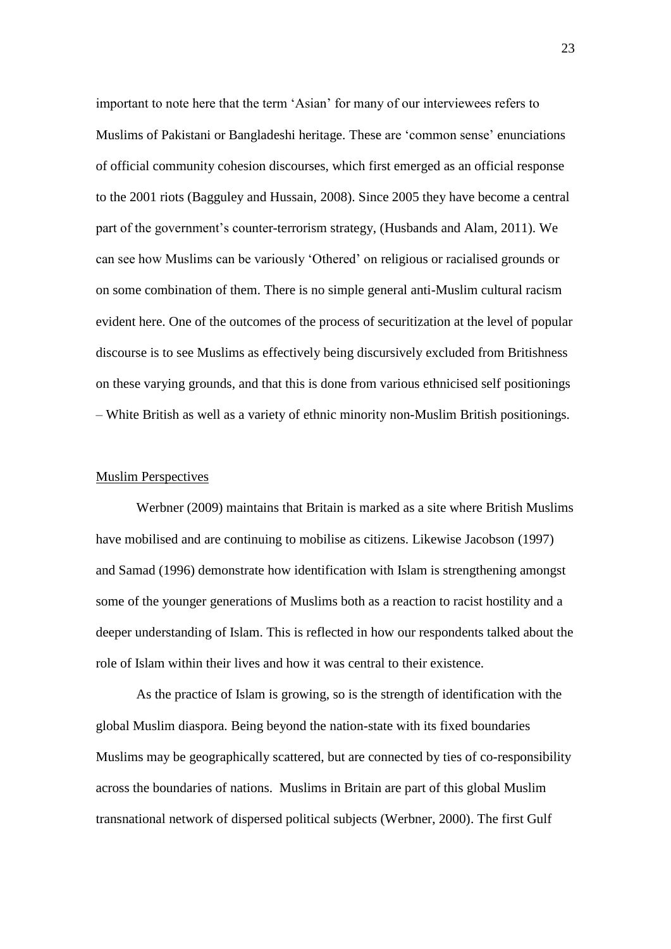important to note here that the term 'Asian' for many of our interviewees refers to Muslims of Pakistani or Bangladeshi heritage. These are 'common sense' enunciations of official community cohesion discourses, which first emerged as an official response to the 2001 riots (Bagguley and Hussain, 2008). Since 2005 they have become a central part of the government's counter-terrorism strategy, (Husbands and Alam, 2011). We can see how Muslims can be variously 'Othered' on religious or racialised grounds or on some combination of them. There is no simple general anti-Muslim cultural racism evident here. One of the outcomes of the process of securitization at the level of popular discourse is to see Muslims as effectively being discursively excluded from Britishness on these varying grounds, and that this is done from various ethnicised self positionings – White British as well as a variety of ethnic minority non-Muslim British positionings.

#### Muslim Perspectives

Werbner (2009) maintains that Britain is marked as a site where British Muslims have mobilised and are continuing to mobilise as citizens. Likewise Jacobson (1997) and Samad (1996) demonstrate how identification with Islam is strengthening amongst some of the younger generations of Muslims both as a reaction to racist hostility and a deeper understanding of Islam. This is reflected in how our respondents talked about the role of Islam within their lives and how it was central to their existence.

As the practice of Islam is growing, so is the strength of identification with the global Muslim diaspora. Being beyond the nation-state with its fixed boundaries Muslims may be geographically scattered, but are connected by ties of co-responsibility across the boundaries of nations. Muslims in Britain are part of this global Muslim transnational network of dispersed political subjects (Werbner, 2000). The first Gulf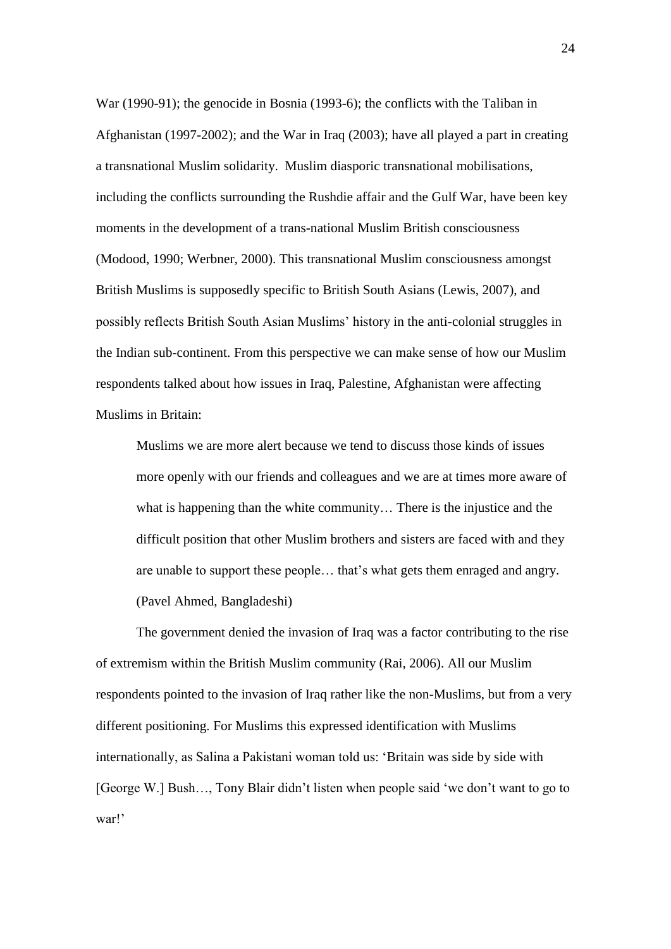War (1990-91); the genocide in Bosnia (1993-6); the conflicts with the Taliban in Afghanistan (1997-2002); and the War in Iraq (2003); have all played a part in creating a transnational Muslim solidarity. Muslim diasporic transnational mobilisations, including the conflicts surrounding the Rushdie affair and the Gulf War, have been key moments in the development of a trans-national Muslim British consciousness (Modood, 1990; Werbner, 2000). This transnational Muslim consciousness amongst British Muslims is supposedly specific to British South Asians (Lewis, 2007), and possibly reflects British South Asian Muslims' history in the anti-colonial struggles in the Indian sub-continent. From this perspective we can make sense of how our Muslim respondents talked about how issues in Iraq, Palestine, Afghanistan were affecting Muslims in Britain:

Muslims we are more alert because we tend to discuss those kinds of issues more openly with our friends and colleagues and we are at times more aware of what is happening than the white community… There is the injustice and the difficult position that other Muslim brothers and sisters are faced with and they are unable to support these people… that's what gets them enraged and angry. (Pavel Ahmed, Bangladeshi)

The government denied the invasion of Iraq was a factor contributing to the rise of extremism within the British Muslim community (Rai, 2006). All our Muslim respondents pointed to the invasion of Iraq rather like the non-Muslims, but from a very different positioning. For Muslims this expressed identification with Muslims internationally, as Salina a Pakistani woman told us: 'Britain was side by side with [George W.] Bush…, Tony Blair didn't listen when people said 'we don't want to go to war!'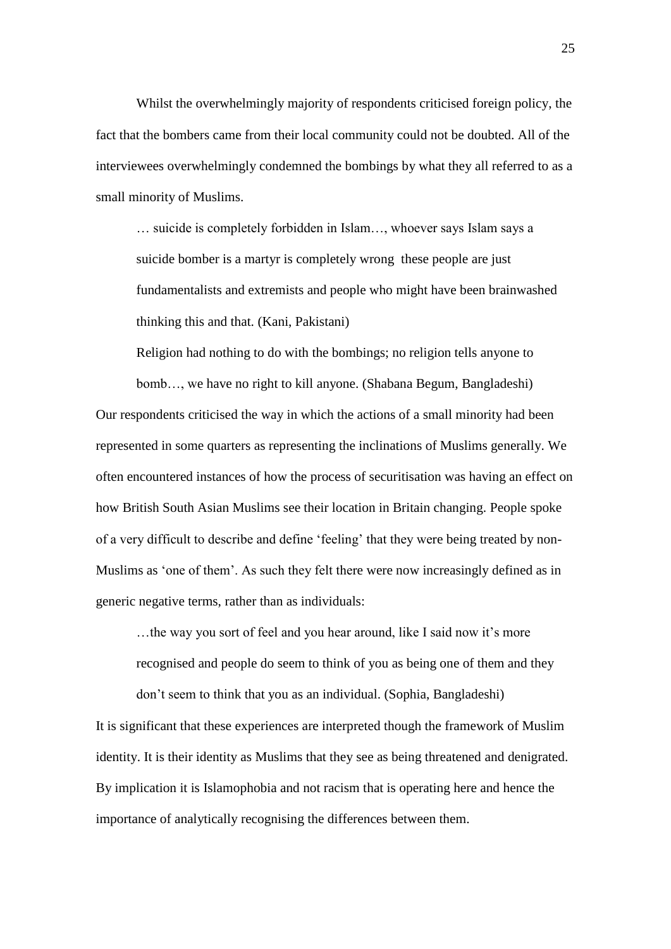Whilst the overwhelmingly majority of respondents criticised foreign policy, the fact that the bombers came from their local community could not be doubted. All of the interviewees overwhelmingly condemned the bombings by what they all referred to as a small minority of Muslims.

… suicide is completely forbidden in Islam…, whoever says Islam says a suicide bomber is a martyr is completely wrong these people are just fundamentalists and extremists and people who might have been brainwashed thinking this and that. (Kani, Pakistani)

Religion had nothing to do with the bombings; no religion tells anyone to

bomb…, we have no right to kill anyone. (Shabana Begum, Bangladeshi) Our respondents criticised the way in which the actions of a small minority had been represented in some quarters as representing the inclinations of Muslims generally. We often encountered instances of how the process of securitisation was having an effect on how British South Asian Muslims see their location in Britain changing. People spoke of a very difficult to describe and define 'feeling' that they were being treated by non-Muslims as 'one of them'. As such they felt there were now increasingly defined as in generic negative terms, rather than as individuals:

…the way you sort of feel and you hear around, like I said now it's more recognised and people do seem to think of you as being one of them and they don't seem to think that you as an individual. (Sophia, Bangladeshi)

It is significant that these experiences are interpreted though the framework of Muslim identity. It is their identity as Muslims that they see as being threatened and denigrated. By implication it is Islamophobia and not racism that is operating here and hence the importance of analytically recognising the differences between them.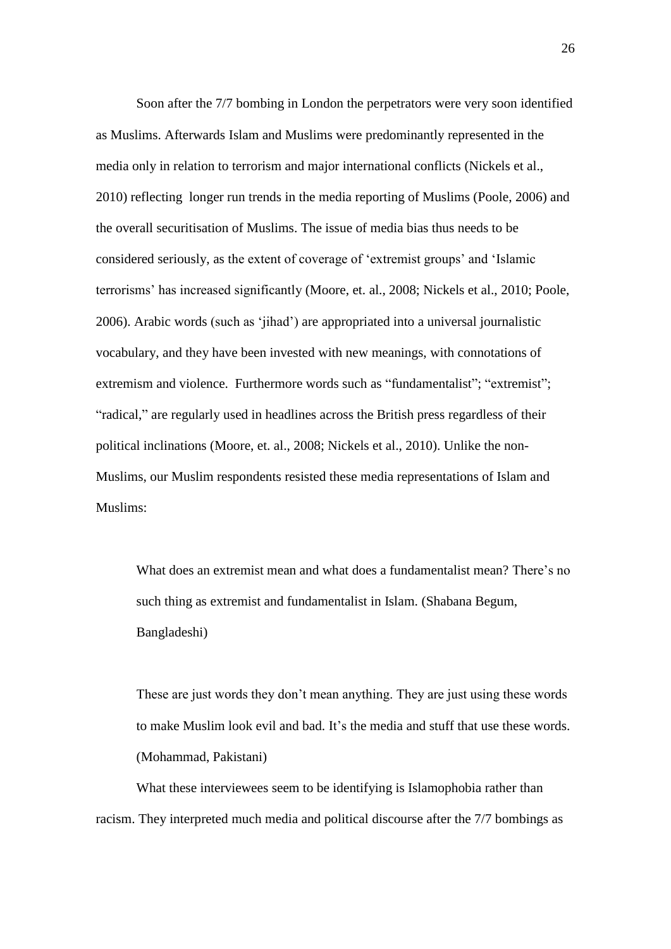Soon after the 7/7 bombing in London the perpetrators were very soon identified as Muslims. Afterwards Islam and Muslims were predominantly represented in the media only in relation to terrorism and major international conflicts (Nickels et al., 2010) reflecting longer run trends in the media reporting of Muslims (Poole, 2006) and the overall securitisation of Muslims. The issue of media bias thus needs to be considered seriously, as the extent of coverage of 'extremist groups' and 'Islamic terrorisms' has increased significantly (Moore, et. al., 2008; Nickels et al., 2010; Poole, 2006). Arabic words (such as 'jihad') are appropriated into a universal journalistic vocabulary, and they have been invested with new meanings, with connotations of extremism and violence. Furthermore words such as "fundamentalist"; "extremist"; "radical," are regularly used in headlines across the British press regardless of their political inclinations (Moore, et. al., 2008; Nickels et al., 2010). Unlike the non-Muslims, our Muslim respondents resisted these media representations of Islam and Muslims:

What does an extremist mean and what does a fundamentalist mean? There's no such thing as extremist and fundamentalist in Islam. (Shabana Begum, Bangladeshi)

These are just words they don't mean anything. They are just using these words to make Muslim look evil and bad. It's the media and stuff that use these words. (Mohammad, Pakistani)

What these interviewees seem to be identifying is Islamophobia rather than racism. They interpreted much media and political discourse after the 7/7 bombings as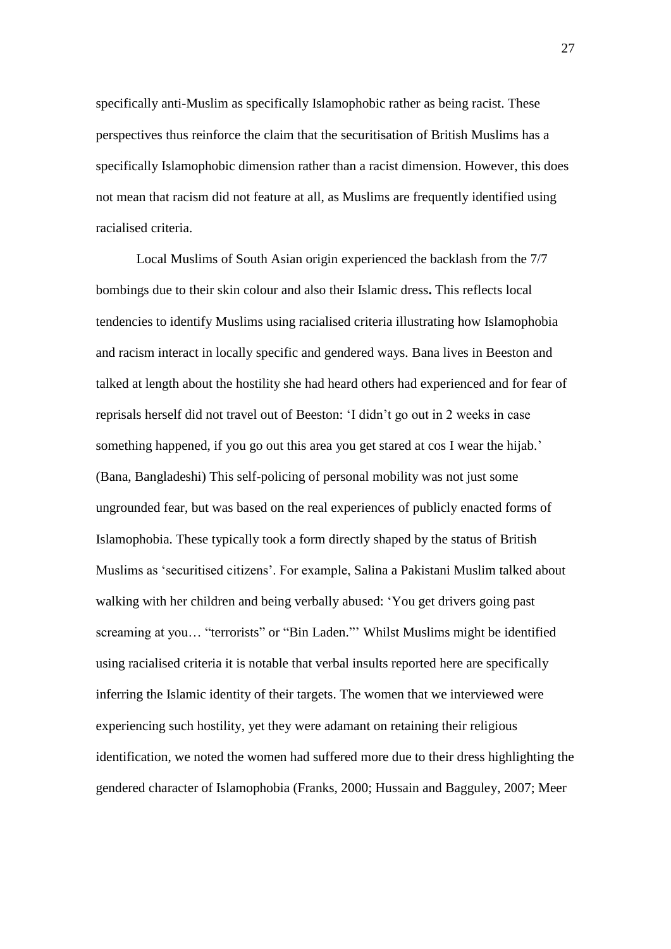specifically anti-Muslim as specifically Islamophobic rather as being racist. These perspectives thus reinforce the claim that the securitisation of British Muslims has a specifically Islamophobic dimension rather than a racist dimension. However, this does not mean that racism did not feature at all, as Muslims are frequently identified using racialised criteria.

Local Muslims of South Asian origin experienced the backlash from the 7/7 bombings due to their skin colour and also their Islamic dress**.** This reflects local tendencies to identify Muslims using racialised criteria illustrating how Islamophobia and racism interact in locally specific and gendered ways. Bana lives in Beeston and talked at length about the hostility she had heard others had experienced and for fear of reprisals herself did not travel out of Beeston: 'I didn't go out in 2 weeks in case something happened, if you go out this area you get stared at cos I wear the hijab.' (Bana, Bangladeshi) This self-policing of personal mobility was not just some ungrounded fear, but was based on the real experiences of publicly enacted forms of Islamophobia. These typically took a form directly shaped by the status of British Muslims as 'securitised citizens'. For example, Salina a Pakistani Muslim talked about walking with her children and being verbally abused: 'You get drivers going past screaming at you… "terrorists" or "Bin Laden."' Whilst Muslims might be identified using racialised criteria it is notable that verbal insults reported here are specifically inferring the Islamic identity of their targets. The women that we interviewed were experiencing such hostility, yet they were adamant on retaining their religious identification, we noted the women had suffered more due to their dress highlighting the gendered character of Islamophobia (Franks, 2000; Hussain and Bagguley, 2007; Meer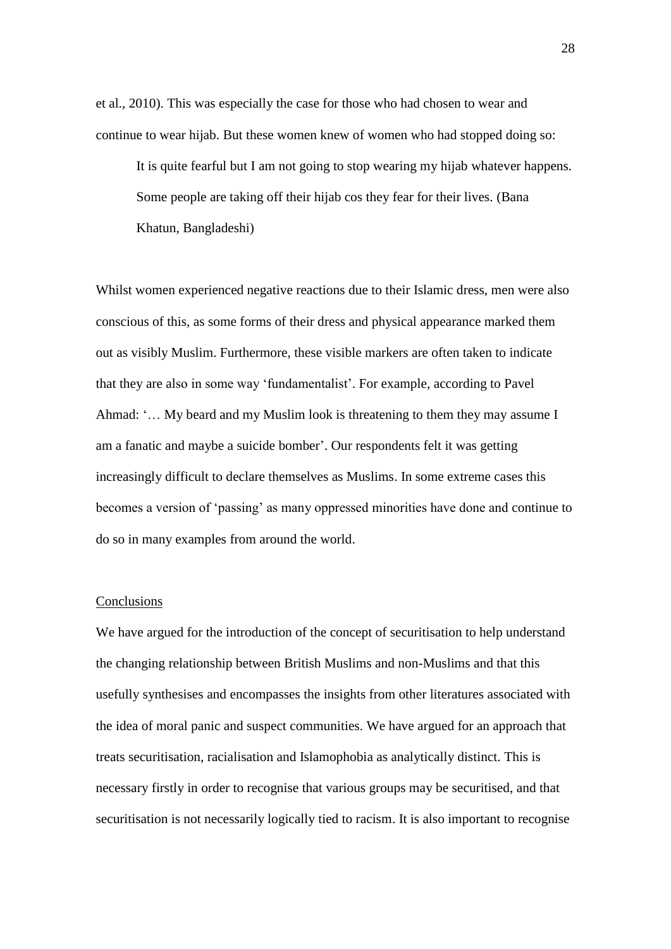et al., 2010). This was especially the case for those who had chosen to wear and continue to wear hijab. But these women knew of women who had stopped doing so:

It is quite fearful but I am not going to stop wearing my hijab whatever happens. Some people are taking off their hijab cos they fear for their lives. (Bana Khatun, Bangladeshi)

Whilst women experienced negative reactions due to their Islamic dress, men were also conscious of this, as some forms of their dress and physical appearance marked them out as visibly Muslim. Furthermore, these visible markers are often taken to indicate that they are also in some way 'fundamentalist'. For example, according to Pavel Ahmad: '… My beard and my Muslim look is threatening to them they may assume I am a fanatic and maybe a suicide bomber'. Our respondents felt it was getting increasingly difficult to declare themselves as Muslims. In some extreme cases this becomes a version of 'passing' as many oppressed minorities have done and continue to do so in many examples from around the world.

#### Conclusions

We have argued for the introduction of the concept of securitisation to help understand the changing relationship between British Muslims and non-Muslims and that this usefully synthesises and encompasses the insights from other literatures associated with the idea of moral panic and suspect communities. We have argued for an approach that treats securitisation, racialisation and Islamophobia as analytically distinct. This is necessary firstly in order to recognise that various groups may be securitised, and that securitisation is not necessarily logically tied to racism. It is also important to recognise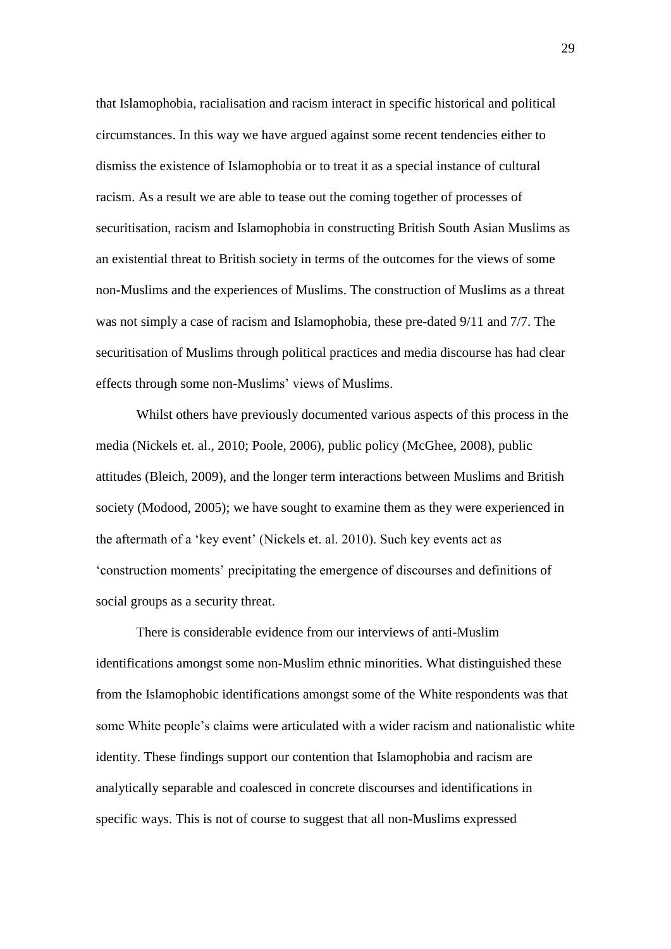that Islamophobia, racialisation and racism interact in specific historical and political circumstances. In this way we have argued against some recent tendencies either to dismiss the existence of Islamophobia or to treat it as a special instance of cultural racism. As a result we are able to tease out the coming together of processes of securitisation, racism and Islamophobia in constructing British South Asian Muslims as an existential threat to British society in terms of the outcomes for the views of some non-Muslims and the experiences of Muslims. The construction of Muslims as a threat was not simply a case of racism and Islamophobia, these pre-dated 9/11 and 7/7. The securitisation of Muslims through political practices and media discourse has had clear effects through some non-Muslims' views of Muslims.

 Whilst others have previously documented various aspects of this process in the media (Nickels et. al., 2010; Poole, 2006), public policy (McGhee, 2008), public attitudes (Bleich, 2009), and the longer term interactions between Muslims and British society (Modood, 2005); we have sought to examine them as they were experienced in the aftermath of a 'key event' (Nickels et. al. 2010). Such key events act as 'construction moments' precipitating the emergence of discourses and definitions of social groups as a security threat.

 There is considerable evidence from our interviews of anti-Muslim identifications amongst some non-Muslim ethnic minorities. What distinguished these from the Islamophobic identifications amongst some of the White respondents was that some White people's claims were articulated with a wider racism and nationalistic white identity. These findings support our contention that Islamophobia and racism are analytically separable and coalesced in concrete discourses and identifications in specific ways. This is not of course to suggest that all non-Muslims expressed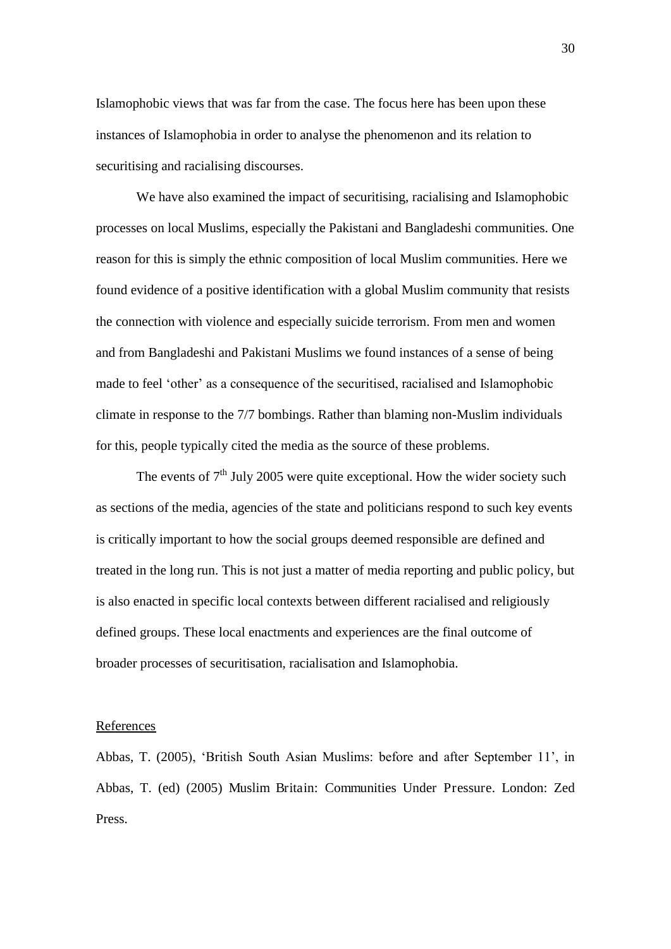Islamophobic views that was far from the case. The focus here has been upon these instances of Islamophobia in order to analyse the phenomenon and its relation to securitising and racialising discourses.

 We have also examined the impact of securitising, racialising and Islamophobic processes on local Muslims, especially the Pakistani and Bangladeshi communities. One reason for this is simply the ethnic composition of local Muslim communities. Here we found evidence of a positive identification with a global Muslim community that resists the connection with violence and especially suicide terrorism. From men and women and from Bangladeshi and Pakistani Muslims we found instances of a sense of being made to feel 'other' as a consequence of the securitised, racialised and Islamophobic climate in response to the 7/7 bombings. Rather than blaming non-Muslim individuals for this, people typically cited the media as the source of these problems.

The events of  $7<sup>th</sup>$  July 2005 were quite exceptional. How the wider society such as sections of the media, agencies of the state and politicians respond to such key events is critically important to how the social groups deemed responsible are defined and treated in the long run. This is not just a matter of media reporting and public policy, but is also enacted in specific local contexts between different racialised and religiously defined groups. These local enactments and experiences are the final outcome of broader processes of securitisation, racialisation and Islamophobia.

#### **References**

Abbas, T. (2005), 'British South Asian Muslims: before and after September 11', in Abbas, T. (ed) (2005) Muslim Britain: Communities Under Pressure. London: Zed Press.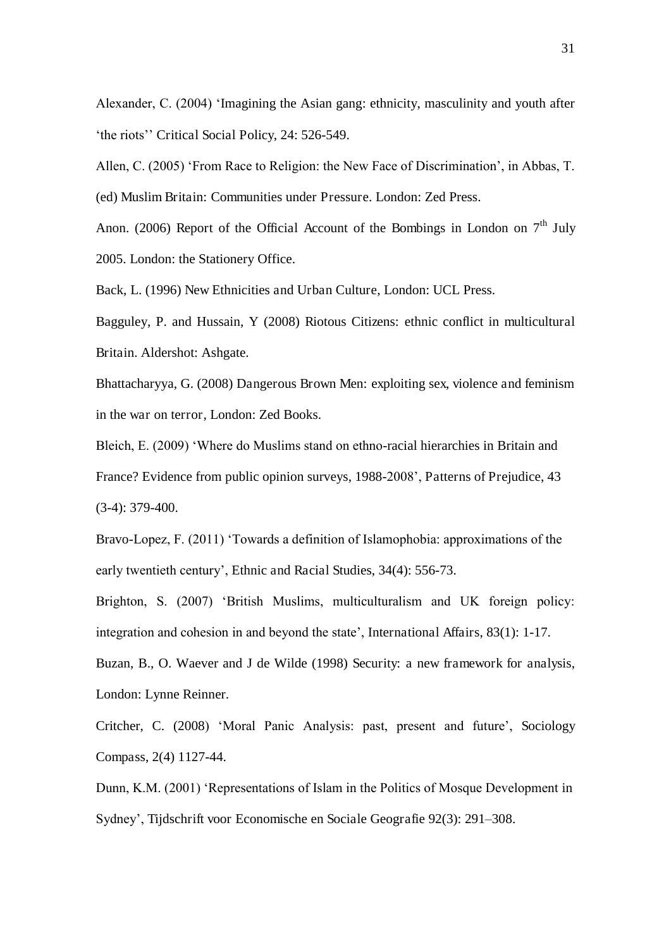Alexander, C. (2004) 'Imagining the Asian gang: ethnicity, masculinity and youth after 'the riots'' Critical Social Policy, 24: 526-549.

Allen, C. (2005) 'From Race to Religion: the New Face of Discrimination', in Abbas, T. (ed) Muslim Britain: Communities under Pressure. London: Zed Press.

Anon. (2006) Report of the Official Account of the Bombings in London on  $7<sup>th</sup>$  July 2005. London: the Stationery Office.

Back, L. (1996) New Ethnicities and Urban Culture, London: UCL Press.

Bagguley, P. and Hussain, Y (2008) Riotous Citizens: ethnic conflict in multicultural Britain. Aldershot: Ashgate.

Bhattacharyya, G. (2008) Dangerous Brown Men: exploiting sex, violence and feminism in the war on terror, London: Zed Books.

Bleich, E. (2009) 'Where do Muslims stand on ethno-racial hierarchies in Britain and France? Evidence from public opinion surveys, 1988-2008', Patterns of Prejudice, 43 (3-4): 379-400.

Bravo-Lopez, F. (2011) 'Towards a definition of Islamophobia: approximations of the early twentieth century', Ethnic and Racial Studies, 34(4): 556-73.

Brighton, S. (2007) 'British Muslims, multiculturalism and UK foreign policy: integration and cohesion in and beyond the state', International Affairs, 83(1): 1-17.

Buzan, B., O. Waever and J de Wilde (1998) Security: a new framework for analysis, London: Lynne Reinner.

Critcher, C. (2008) 'Moral Panic Analysis: past, present and future', Sociology Compass, 2(4) 1127-44.

Dunn, K.M. (2001) 'Representations of Islam in the Politics of Mosque Development in Sydney', Tijdschrift voor Economische en Sociale Geografie 92(3): 291–308.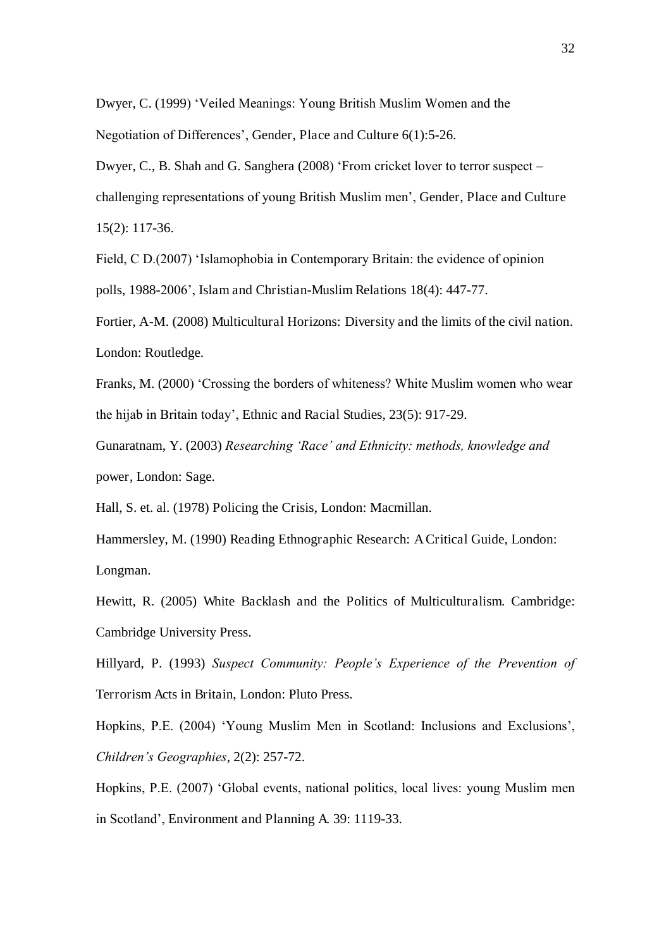Dwyer, C. (1999) 'Veiled Meanings: Young British Muslim Women and the Negotiation of Differences', Gender, Place and Culture 6(1):5-26.

Dwyer, C., B. Shah and G. Sanghera (2008) 'From cricket lover to terror suspect – challenging representations of young British Muslim men', Gender, Place and Culture 15(2): 117-36.

Field, C D.(2007) 'Islamophobia in Contemporary Britain: the evidence of opinion polls, 1988-2006', Islam and Christian-Muslim Relations 18(4): 447-77.

Fortier, A-M. (2008) Multicultural Horizons: Diversity and the limits of the civil nation. London: Routledge.

Franks, M. (2000) 'Crossing the borders of whiteness? White Muslim women who wear the hijab in Britain today', Ethnic and Racial Studies, 23(5): 917-29.

Gunaratnam, Y. (2003) *Researching 'Race' and Ethnicity: methods, knowledge and*  power, London: Sage.

Hall, S. et. al. (1978) Policing the Crisis, London: Macmillan.

Hammersley, M. (1990) Reading Ethnographic Research: A Critical Guide, London: Longman.

Hewitt, R. (2005) White Backlash and the Politics of Multiculturalism. Cambridge: Cambridge University Press.

Hillyard, P. (1993) *Suspect Community: People's Experience of the Prevention of*  Terrorism Acts in Britain, London: Pluto Press.

Hopkins, P.E. (2004) 'Young Muslim Men in Scotland: Inclusions and Exclusions', *Children's Geographies*, 2(2): 257-72.

Hopkins, P.E. (2007) 'Global events, national politics, local lives: young Muslim men in Scotland', Environment and Planning A. 39: 1119-33.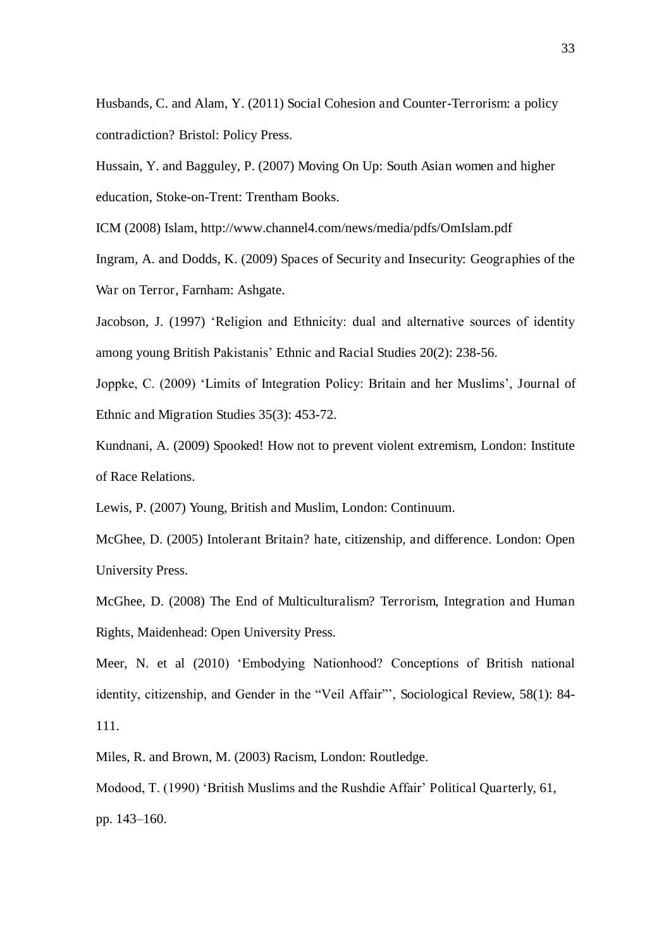Husbands, C. and Alam, Y. (2011) Social Cohesion and Counter-Terrorism: a policy contradiction? Bristol: Policy Press.

Hussain, Y. and Bagguley, P. (2007) Moving On Up: South Asian women and higher education, Stoke-on-Trent: Trentham Books.

ICM (2008) Islam, http://www.channel4.com/news/media/pdfs/OmIslam.pdf

Ingram, A. and Dodds, K. (2009) Spaces of Security and Insecurity: Geographies of the War on Terror, Farnham: Ashgate.

Jacobson, J. (1997) 'Religion and Ethnicity: dual and alternative sources of identity among young British Pakistanis' Ethnic and Racial Studies 20(2): 238-56.

Joppke, C. (2009) 'Limits of Integration Policy: Britain and her Muslims', Journal of Ethnic and Migration Studies 35(3): 453-72.

Kundnani, A. (2009) Spooked! How not to prevent violent extremism, London: Institute of Race Relations.

Lewis, P. (2007) Young, British and Muslim, London: Continuum.

McGhee, D. (2005) Intolerant Britain? hate, citizenship, and difference. London: Open University Press.

McGhee, D. (2008) The End of Multiculturalism? Terrorism, Integration and Human Rights, Maidenhead: Open University Press.

Meer, N. et al (2010) 'Embodying Nationhood? Conceptions of British national identity, citizenship, and Gender in the "Veil Affair"', Sociological Review, 58(1): 84- 111.

Miles, R. and Brown, M. (2003) Racism, London: Routledge.

Modood, T. (1990) 'British Muslims and the Rushdie Affair' Political Quarterly, 61, pp. 143–160.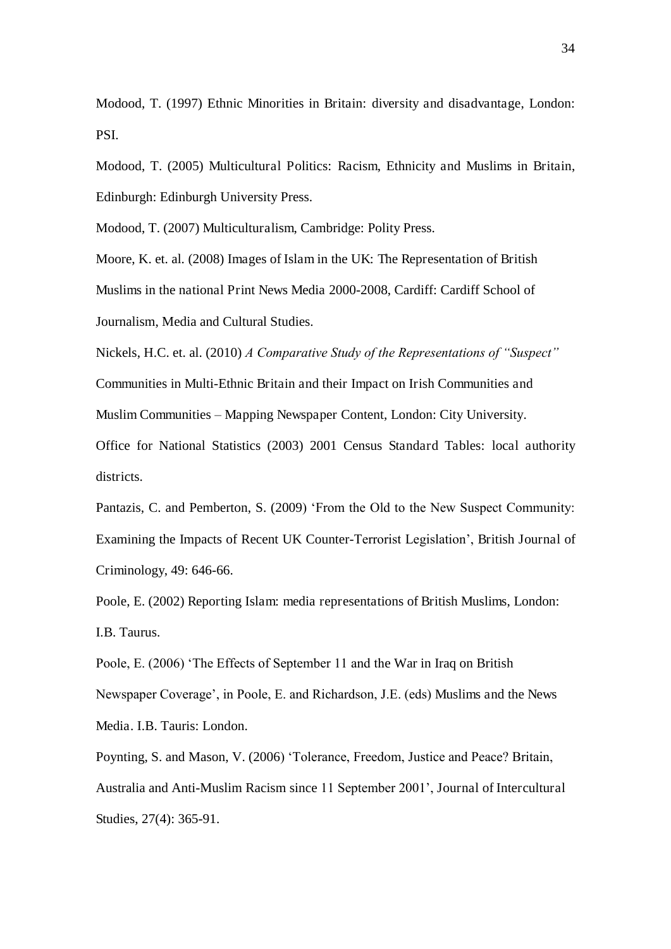Modood, T. (1997) Ethnic Minorities in Britain: diversity and disadvantage, London: PSI.

Modood, T. (2005) Multicultural Politics: Racism, Ethnicity and Muslims in Britain, Edinburgh: Edinburgh University Press.

Modood, T. (2007) Multiculturalism, Cambridge: Polity Press.

Moore, K. et. al. (2008) Images of Islam in the UK: The Representation of British Muslims in the national Print News Media 2000-2008, Cardiff: Cardiff School of Journalism, Media and Cultural Studies.

Nickels, H.C. et. al. (2010) *A Comparative Study of the Representations of "Suspect"* 

Communities in Multi-Ethnic Britain and their Impact on Irish Communities and Muslim Communities *–* Mapping Newspaper Content, London: City University.

Office for National Statistics (2003) 2001 Census Standard Tables: local authority districts.

Pantazis, C. and Pemberton, S. (2009) 'From the Old to the New Suspect Community: Examining the Impacts of Recent UK Counter-Terrorist Legislation', British Journal of Criminology, 49: 646-66.

Poole, E. (2002) Reporting Islam: media representations of British Muslims, London: I.B. Taurus.

Poole, E. (2006) 'The Effects of September 11 and the War in Iraq on British Newspaper Coverage', in Poole, E. and Richardson, J.E. (eds) Muslims and the News Media. I.B. Tauris: London.

Poynting, S. and Mason, V. (2006) 'Tolerance, Freedom, Justice and Peace? Britain, Australia and Anti-Muslim Racism since 11 September 2001', Journal of Intercultural Studies, 27(4): 365-91.